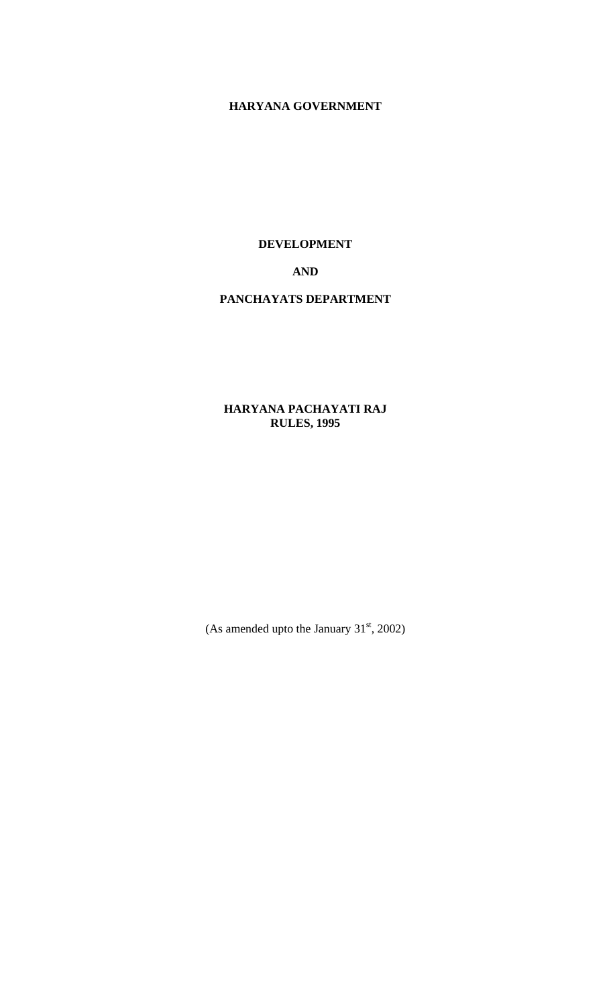# **HARYANA GOVERNMENT**

**DEVELOPMENT** 

# **AND**

#### **PANCHAYATS DEPARTMENT**

# **HARYANA PACHAYATI RAJ RULES, 1995**

(As amended upto the January  $31<sup>st</sup>$ , 2002)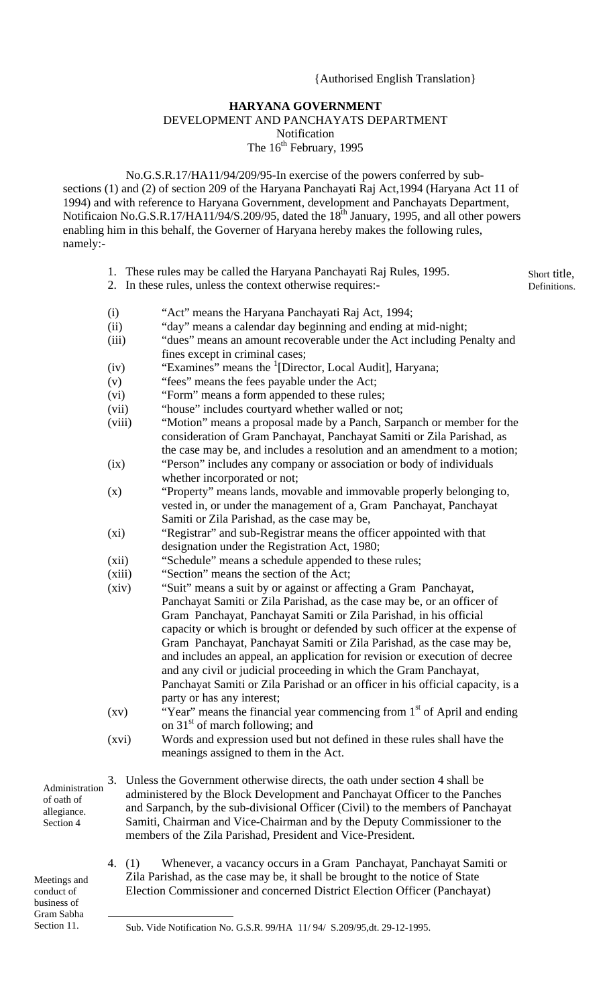#### {Authorised English Translation}

#### **HARYANA GOVERNMENT**  DEVELOPMENT AND PANCHAYATS DEPARTMENT Notification

The 16<sup>th</sup> February, 1995

 No.G.S.R.17/HA11/94/209/95-In exercise of the powers conferred by subsections (1) and (2) of section 209 of the Haryana Panchayati Raj Act,1994 (Haryana Act 11 of 1994) and with reference to Haryana Government, development and Panchayats Department, Notificaion No.G.S.R.17/HA11/94/S.209/95, dated the  $18<sup>th</sup>$  January, 1995, and all other powers enabling him in this behalf, the Governer of Haryana hereby makes the following rules, namely:-

- 1. These rules may be called the Haryana Panchayati Raj Rules, 1995.
- 2. In these rules, unless the context otherwise requires:-

Short title, Definitions.

- (i) "Act" means the Haryana Panchayati Raj Act, 1994;
- (ii) "day" means a calendar day beginning and ending at mid-night;
- (iii) "dues" means an amount recoverable under the Act including Penalty and fines except in criminal cases;
- $(iv)$  "Examines" means the <sup>[1](#page-1-0)</sup>[Director, Local Audit], Haryana;
- (v) "fees" means the fees payable under the Act;
- (vi) "Form" means a form appended to these rules;
- (vii) "house" includes courtyard whether walled or not;
- (viii) "Motion" means a proposal made by a Panch, Sarpanch or member for the consideration of Gram Panchayat, Panchayat Samiti or Zila Parishad, as the case may be, and includes a resolution and an amendment to a motion;
- (ix) "Person" includes any company or association or body of individuals whether incorporated or not;
- (x) "Property" means lands, movable and immovable properly belonging to, vested in, or under the management of a, Gram Panchayat, Panchayat Samiti or Zila Parishad, as the case may be,
- (xi) "Registrar" and sub-Registrar means the officer appointed with that designation under the Registration Act, 1980;
- (xii) "Schedule" means a schedule appended to these rules;
- (xiii) "Section" means the section of the Act;
- (xiv) "Suit" means a suit by or against or affecting a Gram Panchayat, Panchayat Samiti or Zila Parishad, as the case may be, or an officer of Gram Panchayat, Panchayat Samiti or Zila Parishad, in his official capacity or which is brought or defended by such officer at the expense of Gram Panchayat, Panchayat Samiti or Zila Parishad, as the case may be, and includes an appeal, an application for revision or execution of decree and any civil or judicial proceeding in which the Gram Panchayat, Panchayat Samiti or Zila Parishad or an officer in his official capacity, is a party or has any interest;
- (xv) "Year" means the financial year commencing from  $1<sup>st</sup>$  of April and ending on  $31<sup>st</sup>$  of march following; and
- (xvi) Words and expression used but not defined in these rules shall have the meanings assigned to them in the Act.
- Administration of oath of allegiance. Section 4
- 3. Unless the Government otherwise directs, the oath under section 4 shall be administered by the Block Development and Panchayat Officer to the Panches and Sarpanch, by the sub-divisional Officer (Civil) to the members of Panchayat Samiti, Chairman and Vice-Chairman and by the Deputy Commissioner to the members of the Zila Parishad, President and Vice-President.
- Meetings and conduct of business of Gram Sabha Section 11.
- 4. (1) Whenever, a vacancy occurs in a Gram Panchayat, Panchayat Samiti or Zila Parishad, as the case may be, it shall be brought to the notice of State Election Commissioner and concerned District Election Officer (Panchayat)

<span id="page-1-0"></span>Sub. Vide Notification No. G.S.R. 99/HA 11/ 94/ S.209/95,dt. 29-12-1995.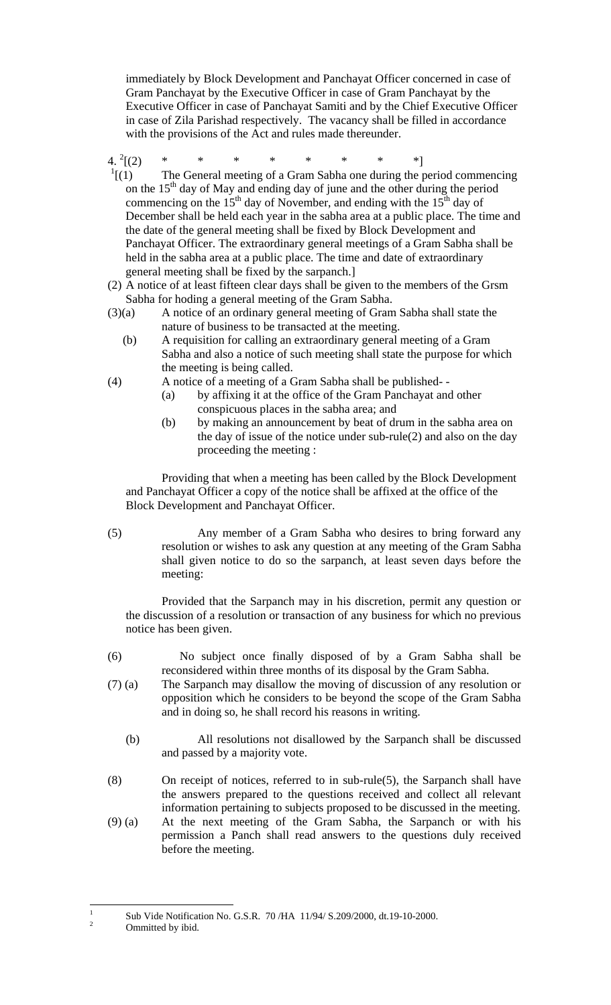immediately by Block Development and Panchayat Officer concerned in case of Gram Panchayat by the Executive Officer in case of Gram Panchayat by the Executive Officer in case of Panchayat Samiti and by the Chief Executive Officer in case of Zila Parishad respectively. The vacancy shall be filled in accordance with the provisions of the Act and rules made thereunder.

4.  $^{2}[(2)$  $[(2) \quad * \quad * \quad * \quad * \quad * \quad * \quad * \quad *]$ 

- $\frac{1}{1}$ [(1) The General meeting of a Gram Sabha one during the period commencing on the  $15<sup>th</sup>$  day of May and ending day of june and the other during the period commencing on the  $15<sup>th</sup>$  day of November, and ending with the  $15<sup>th</sup>$  day of December shall be held each year in the sabha area at a public place. The time and the date of the general meeting shall be fixed by Block Development and Panchayat Officer. The extraordinary general meetings of a Gram Sabha shall be held in the sabha area at a public place. The time and date of extraordinary general meeting shall be fixed by the sarpanch.]
- (2) A notice of at least fifteen clear days shall be given to the members of the Grsm Sabha for hoding a general meeting of the Gram Sabha.
- (3)(a) A notice of an ordinary general meeting of Gram Sabha shall state the nature of business to be transacted at the meeting.
	- (b) A requisition for calling an extraordinary general meeting of a Gram Sabha and also a notice of such meeting shall state the purpose for which the meeting is being called.
- (4) A notice of a meeting of a Gram Sabha shall be published-
	- (a) by affixing it at the office of the Gram Panchayat and other conspicuous places in the sabha area; and
	- (b) by making an announcement by beat of drum in the sabha area on the day of issue of the notice under sub-rule(2) and also on the day proceeding the meeting :

 Providing that when a meeting has been called by the Block Development and Panchayat Officer a copy of the notice shall be affixed at the office of the Block Development and Panchayat Officer.

(5) Any member of a Gram Sabha who desires to bring forward any resolution or wishes to ask any question at any meeting of the Gram Sabha shall given notice to do so the sarpanch, at least seven days before the meeting:

 Provided that the Sarpanch may in his discretion, permit any question or the discussion of a resolution or transaction of any business for which no previous notice has been given.

- (6) No subject once finally disposed of by a Gram Sabha shall be reconsidered within three months of its disposal by the Gram Sabha.
- (7) (a) The Sarpanch may disallow the moving of discussion of any resolution or opposition which he considers to be beyond the scope of the Gram Sabha and in doing so, he shall record his reasons in writing.
	- (b) All resolutions not disallowed by the Sarpanch shall be discussed and passed by a majority vote.
- (8) On receipt of notices, referred to in sub-rule(5), the Sarpanch shall have the answers prepared to the questions received and collect all relevant information pertaining to subjects proposed to be discussed in the meeting.
- (9) (a) At the next meeting of the Gram Sabha, the Sarpanch or with his permission a Panch shall read answers to the questions duly received before the meeting.

<span id="page-2-0"></span> $\frac{1}{1}$ Sub Vide Notification No. G.S.R. 70 /HA  $11/94/$  S.209/2000, dt.19-10-2000. Ommitted by ibid.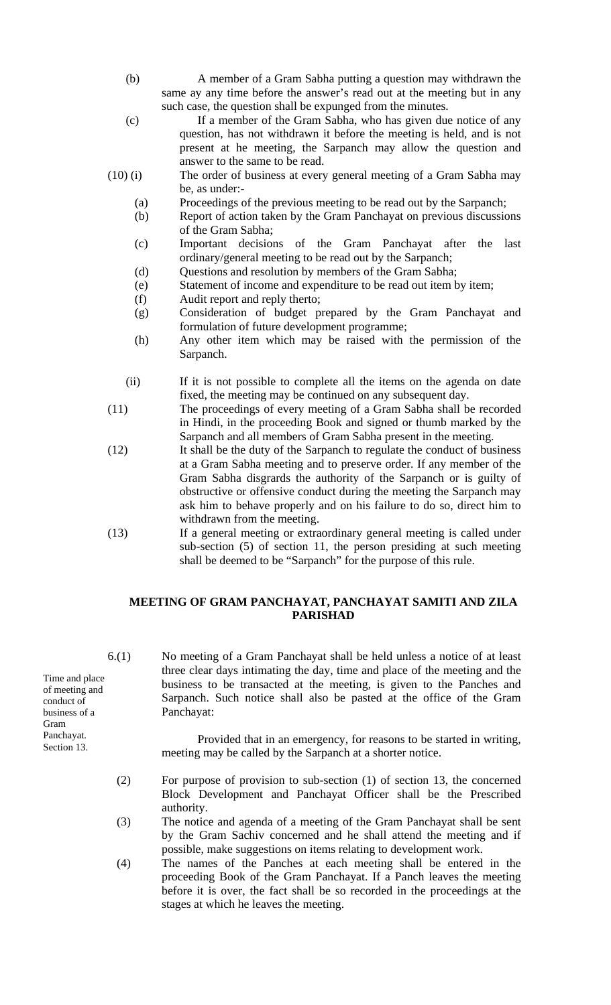- (b) A member of a Gram Sabha putting a question may withdrawn the same ay any time before the answer's read out at the meeting but in any such case, the question shall be expunged from the minutes.
- (c) If a member of the Gram Sabha, who has given due notice of any question, has not withdrawn it before the meeting is held, and is not present at he meeting, the Sarpanch may allow the question and answer to the same to be read.

(10) (i) The order of business at every general meeting of a Gram Sabha may be, as under:-

- (a) Proceedings of the previous meeting to be read out by the Sarpanch;
- (b) Report of action taken by the Gram Panchayat on previous discussions of the Gram Sabha;
- (c) Important decisions of the Gram Panchayat after the last ordinary/general meeting to be read out by the Sarpanch;
- (d) Questions and resolution by members of the Gram Sabha;
- (e) Statement of income and expenditure to be read out item by item;
- (f) Audit report and reply therto;
- (g) Consideration of budget prepared by the Gram Panchayat and formulation of future development programme;
- (h) Any other item which may be raised with the permission of the Sarpanch.
- (ii) If it is not possible to complete all the items on the agenda on date fixed, the meeting may be continued on any subsequent day.
- (11) The proceedings of every meeting of a Gram Sabha shall be recorded in Hindi, in the proceeding Book and signed or thumb marked by the Sarpanch and all members of Gram Sabha present in the meeting.
- (12) It shall be the duty of the Sarpanch to regulate the conduct of business at a Gram Sabha meeting and to preserve order. If any member of the Gram Sabha disgrards the authority of the Sarpanch or is guilty of obstructive or offensive conduct during the meeting the Sarpanch may ask him to behave properly and on his failure to do so, direct him to withdrawn from the meeting.
- (13) If a general meeting or extraordinary general meeting is called under sub-section (5) of section 11, the person presiding at such meeting shall be deemed to be "Sarpanch" for the purpose of this rule.

#### **MEETING OF GRAM PANCHAYAT, PANCHAYAT SAMITI AND ZILA PARISHAD**

Time and place of meeting and conduct of business of a Gram Panchayat. Section 13.

6.(1) No meeting of a Gram Panchayat shall be held unless a notice of at least three clear days intimating the day, time and place of the meeting and the business to be transacted at the meeting, is given to the Panches and Sarpanch. Such notice shall also be pasted at the office of the Gram Panchayat:

> Provided that in an emergency, for reasons to be started in writing, meeting may be called by the Sarpanch at a shorter notice.

- (2) For purpose of provision to sub-section (1) of section 13, the concerned Block Development and Panchayat Officer shall be the Prescribed authority.
- (3) The notice and agenda of a meeting of the Gram Panchayat shall be sent by the Gram Sachiv concerned and he shall attend the meeting and if possible, make suggestions on items relating to development work.
- (4) The names of the Panches at each meeting shall be entered in the proceeding Book of the Gram Panchayat. If a Panch leaves the meeting before it is over, the fact shall be so recorded in the proceedings at the stages at which he leaves the meeting.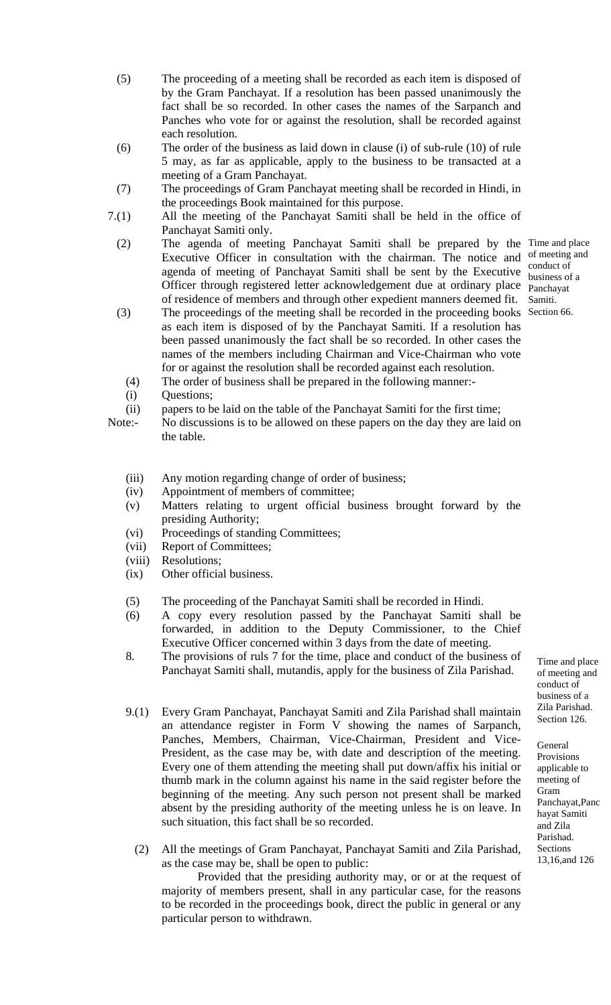- (5) The proceeding of a meeting shall be recorded as each item is disposed of by the Gram Panchayat. If a resolution has been passed unanimously the fact shall be so recorded. In other cases the names of the Sarpanch and Panches who vote for or against the resolution, shall be recorded against each resolution.
- (6) The order of the business as laid down in clause (i) of sub-rule (10) of rule 5 may, as far as applicable, apply to the business to be transacted at a meeting of a Gram Panchayat.
- (7) The proceedings of Gram Panchayat meeting shall be recorded in Hindi, in the proceedings Book maintained for this purpose.
- 7.(1) All the meeting of the Panchayat Samiti shall be held in the office of Panchayat Samiti only.
	- (2) The agenda of meeting Panchayat Samiti shall be prepared by the Time and place Executive Officer in consultation with the chairman. The notice and of meeting and agenda of meeting of Panchayat Samiti shall be sent by the Executive **Conduct** of conduct of Officer through registered letter acknowledgement due at ordinary place panchayat of residence of members and through other expedient manners deemed fit. Samiti.
	- (3) The proceedings of the meeting shall be recorded in the proceeding books Section 66. as each item is disposed of by the Panchayat Samiti. If a resolution has been passed unanimously the fact shall be so recorded. In other cases the names of the members including Chairman and Vice-Chairman who vote for or against the resolution shall be recorded against each resolution.

(4) The order of business shall be prepared in the following manner:-

- (i) Questions;
- (ii) papers to be laid on the table of the Panchayat Samiti for the first time;
- Note:- No discussions is to be allowed on these papers on the day they are laid on the table.
	- (iii) Any motion regarding change of order of business;
	- (iv) Appointment of members of committee;
	- (v) Matters relating to urgent official business brought forward by the presiding Authority;
	- (vi) Proceedings of standing Committees;
	- (vii) Report of Committees;
	- (viii) Resolutions;
	- (ix) Other official business.
	- (5) The proceeding of the Panchayat Samiti shall be recorded in Hindi.
	- (6) A copy every resolution passed by the Panchayat Samiti shall be forwarded, in addition to the Deputy Commissioner, to the Chief Executive Officer concerned within 3 days from the date of meeting.
	- 8. The provisions of ruls 7 for the time, place and conduct of the business of Panchayat Samiti shall, mutandis, apply for the business of Zila Parishad.
	- 9.(1) Every Gram Panchayat, Panchayat Samiti and Zila Parishad shall maintain <sup>Zila Parishad</sup> Section 126. an attendance register in Form V showing the names of Sarpanch, Panches, Members, Chairman, Vice-Chairman, President and Vice-President, as the case may be, with date and description of the meeting. Every one of them attending the meeting shall put down/affix his initial or thumb mark in the column against his name in the said register before the beginning of the meeting. Any such person not present shall be marked absent by the presiding authority of the meeting unless he is on leave. In such situation, this fact shall be so recorded.
		- (2) All the meetings of Gram Panchayat, Panchayat Samiti and Zila Parishad, as the case may be, shall be open to public:

Provided that the presiding authority may, or or at the request of majority of members present, shall in any particular case, for the reasons to be recorded in the proceedings book, direct the public in general or any particular person to withdrawn.

business of a

Time and place of meeting and conduct of business of a Zila Parishad.

General Provisions applicable to meeting of Gram Panchayat,Panc hayat Samiti and Zila Parishad. Sections 13,16,and 126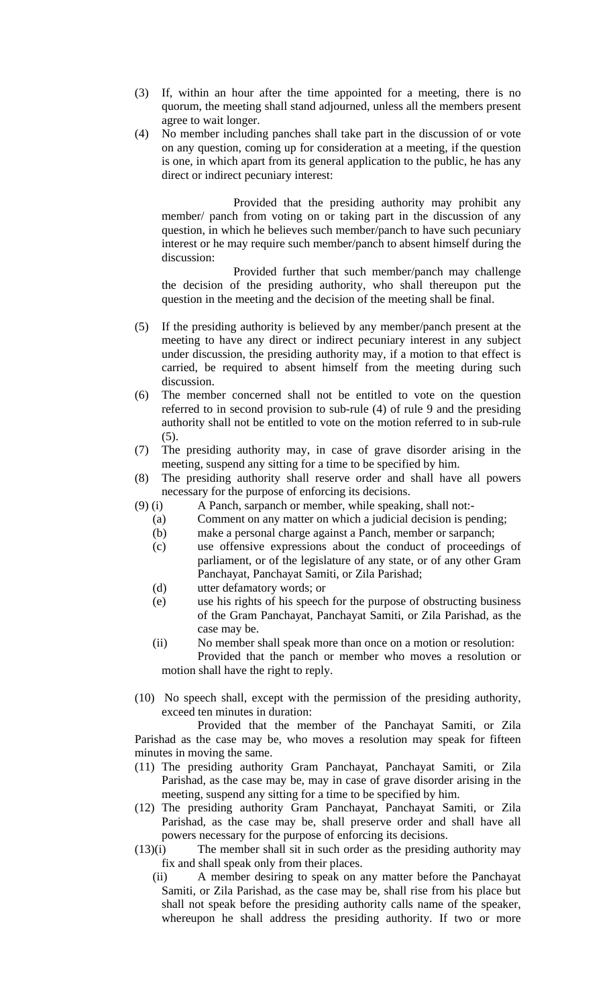- (3) If, within an hour after the time appointed for a meeting, there is no quorum, the meeting shall stand adjourned, unless all the members present agree to wait longer.
- (4) No member including panches shall take part in the discussion of or vote on any question, coming up for consideration at a meeting, if the question is one, in which apart from its general application to the public, he has any direct or indirect pecuniary interest:

Provided that the presiding authority may prohibit any member/ panch from voting on or taking part in the discussion of any question, in which he believes such member/panch to have such pecuniary interest or he may require such member/panch to absent himself during the discussion:

Provided further that such member/panch may challenge the decision of the presiding authority, who shall thereupon put the question in the meeting and the decision of the meeting shall be final.

- (5) If the presiding authority is believed by any member/panch present at the meeting to have any direct or indirect pecuniary interest in any subject under discussion, the presiding authority may, if a motion to that effect is carried, be required to absent himself from the meeting during such discussion.
- (6) The member concerned shall not be entitled to vote on the question referred to in second provision to sub-rule (4) of rule 9 and the presiding authority shall not be entitled to vote on the motion referred to in sub-rule (5).
- (7) The presiding authority may, in case of grave disorder arising in the meeting, suspend any sitting for a time to be specified by him.
- (8) The presiding authority shall reserve order and shall have all powers necessary for the purpose of enforcing its decisions.
- (9) (i) A Panch, sarpanch or member, while speaking, shall not:-
	- (a) Comment on any matter on which a judicial decision is pending;
	- (b) make a personal charge against a Panch, member or sarpanch;
	- (c) use offensive expressions about the conduct of proceedings of parliament, or of the legislature of any state, or of any other Gram Panchayat, Panchayat Samiti, or Zila Parishad;
	- (d) utter defamatory words; or
	- (e) use his rights of his speech for the purpose of obstructing business of the Gram Panchayat, Panchayat Samiti, or Zila Parishad, as the case may be.
	- (ii) No member shall speak more than once on a motion or resolution: Provided that the panch or member who moves a resolution or motion shall have the right to reply.
- (10) No speech shall, except with the permission of the presiding authority, exceed ten minutes in duration:

 Provided that the member of the Panchayat Samiti, or Zila Parishad as the case may be, who moves a resolution may speak for fifteen minutes in moving the same.

- (11) The presiding authority Gram Panchayat, Panchayat Samiti, or Zila Parishad, as the case may be, may in case of grave disorder arising in the meeting, suspend any sitting for a time to be specified by him.
- (12) The presiding authority Gram Panchayat, Panchayat Samiti, or Zila Parishad, as the case may be, shall preserve order and shall have all powers necessary for the purpose of enforcing its decisions.
- (13)(i) The member shall sit in such order as the presiding authority may fix and shall speak only from their places.
	- (ii) A member desiring to speak on any matter before the Panchayat Samiti, or Zila Parishad, as the case may be, shall rise from his place but shall not speak before the presiding authority calls name of the speaker, whereupon he shall address the presiding authority. If two or more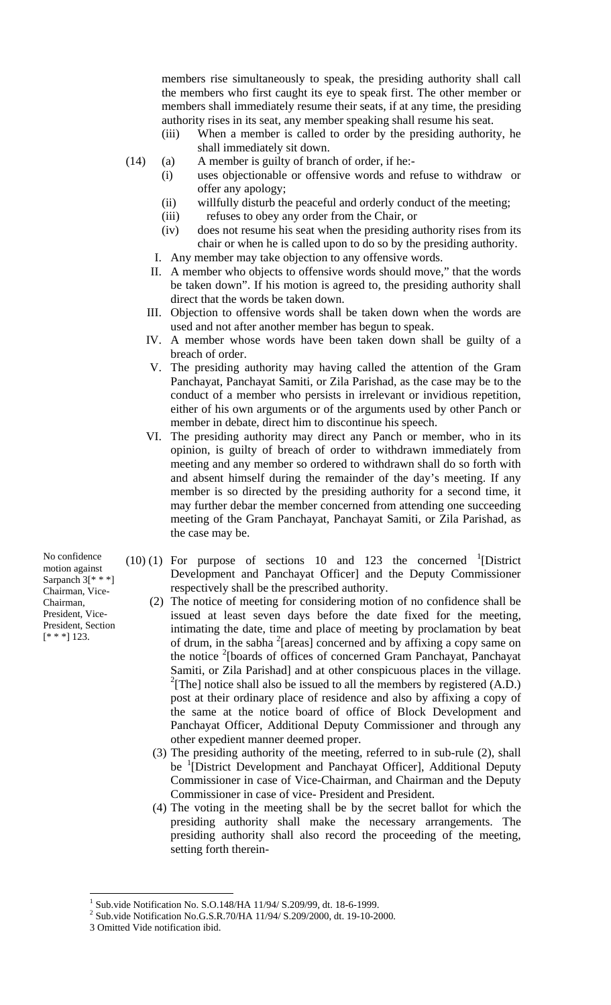members rise simultaneously to speak, the presiding authority shall call the members who first caught its eye to speak first. The other member or members shall immediately resume their seats, if at any time, the presiding authority rises in its seat, any member speaking shall resume his seat.

- (iii) When a member is called to order by the presiding authority, he shall immediately sit down.
- (14) (a) A member is guilty of branch of order, if he:-
	- (i) uses objectionable or offensive words and refuse to withdraw or offer any apology;
	- (ii) willfully disturb the peaceful and orderly conduct of the meeting;
	- (iii) refuses to obey any order from the Chair, or
	- (iv) does not resume his seat when the presiding authority rises from its chair or when he is called upon to do so by the presiding authority.
	- I. Any member may take objection to any offensive words.
	- II. A member who objects to offensive words should move," that the words be taken down". If his motion is agreed to, the presiding authority shall direct that the words be taken down.
	- III. Objection to offensive words shall be taken down when the words are used and not after another member has begun to speak.
	- IV. A member whose words have been taken down shall be guilty of a breach of order.
	- V. The presiding authority may having called the attention of the Gram Panchayat, Panchayat Samiti, or Zila Parishad, as the case may be to the conduct of a member who persists in irrelevant or invidious repetition, either of his own arguments or of the arguments used by other Panch or member in debate, direct him to discontinue his speech.
	- VI. The presiding authority may direct any Panch or member, who in its opinion, is guilty of breach of order to withdrawn immediately from meeting and any member so ordered to withdrawn shall do so forth with and absent himself during the remainder of the day's meeting. If any member is so directed by the presiding authority for a second time, it may further debar the member concerned from attending one succeeding meeting of the Gram Panchayat, Panchayat Samiti, or Zila Parishad, as the case may be.
- $(10)$  (1) For purpose of sections 10 and 123 the concerned <sup>1</sup>[\[](#page-6-0)District Development and Panchayat Officer] and the Deputy Commissioner respectively shall be the prescribed authority.
	- (2) The notice of meeting for considering motion of no confidence shall be issued at least seven days before the date fixed for the meeting, intimating the date, time and place of meeting by proclamation by beat of drum, in the sabha <sup>2</sup> [\[](#page-6-1)areas] concerned and by affixing a copy same on the notice <sup>2</sup>[boards of offices of concerned Gram Panchayat, Panchayat Samiti, or Zila Parishad] and at other conspicuous places in the village. <sup>2</sup>[The] notice shall also be issued to all the members by registered  $(A.D.)$ post at their ordinary place of residence and also by affixing a copy of the same at the notice board of office of Block Development and Panchayat Officer, Additional Deputy Commissioner and through any other expedient manner deemed proper.
	- (3) The presiding authority of the meeting, referred to in sub-rule (2), shall be <sup>1</sup>[District Development and Panchayat Officer], Additional Deputy Commissioner in case of Vice-Chairman, and Chairman and the Deputy Commissioner in case of vice- President and President.
	- (4) The voting in the meeting shall be by the secret ballot for which the presiding authority shall make the necessary arrangements. The presiding authority shall also record the proceeding of the meeting, setting forth therein-

No confidence motion against Sarpanch 3[\* \* \*] Chairman, Vice-Chairman, President, Vice-President, Section  $[* * *] 123.$ 

1

<span id="page-6-0"></span><sup>&</sup>lt;sup>1</sup> Sub.vide Notification No. S.O.148/HA 11/94/ S.209/99, dt. 18-6-1999.

<span id="page-6-1"></span> $^{2}$  Sub.vide Notification No.G.S.R.70/HA 11/94/ S.209/2000, dt. 19-10-2000.

<sup>3</sup> Omitted Vide notification ibid.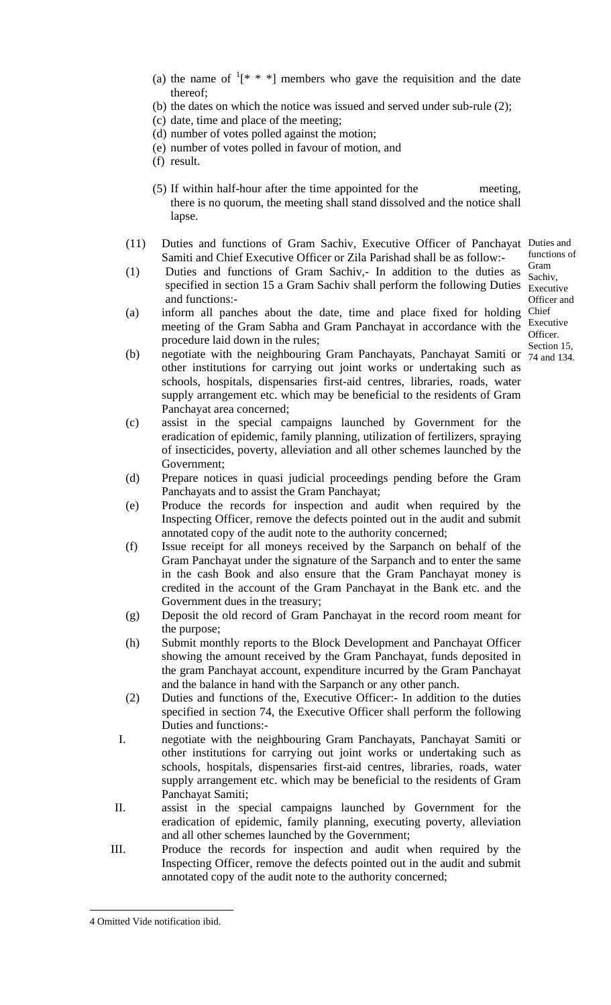- (a) the name of  $1^*$  $1^*$  \* \*] members who gave the requisition and the date thereof;
- (b) the dates on which the notice was issued and served under sub-rule (2);
- (c) date, time and place of the meeting;
- (d) number of votes polled against the motion;
- (e) number of votes polled in favour of motion, and
- (f) result.
- (5) If within half-hour after the time appointed for the meeting, there is no quorum, the meeting shall stand dissolved and the notice shall lapse.
- (11) Duties and functions of Gram Sachiv, Executive Officer of Panchayat Duties and Samiti and Chief Executive Officer or Zila Parishad shall be as follow:-
- (1) Duties and functions of Gram Sachiv,- In addition to the duties as specified in section 15 a Gram Sachiv shall perform the following Duties  $\frac{S_{\text{sc}}}{S_{\text{ex}}/S_{\text{ex}}}\$ and functions:-
- (a) inform all panches about the date, time and place fixed for holding Chief meeting of the Gram Sabha and Gram Panchayat in accordance with the Executive procedure laid down in the rules;
- functions of Gram Sachiv, Officer and Officer. Section 15,
- (b) negotiate with the neighbouring Gram Panchayats, Panchayat Samiti or  $\frac{32000 \text{ m}}{74 \text{ and } 134}$ . other institutions for carrying out joint works or undertaking such as schools, hospitals, dispensaries first-aid centres, libraries, roads, water supply arrangement etc. which may be beneficial to the residents of Gram Panchayat area concerned;
- (c) assist in the special campaigns launched by Government for the eradication of epidemic, family planning, utilization of fertilizers, spraying of insecticides, poverty, alleviation and all other schemes launched by the Government;
- (d) Prepare notices in quasi judicial proceedings pending before the Gram Panchayats and to assist the Gram Panchayat;
- (e) Produce the records for inspection and audit when required by the Inspecting Officer, remove the defects pointed out in the audit and submit annotated copy of the audit note to the authority concerned;
- (f) Issue receipt for all moneys received by the Sarpanch on behalf of the Gram Panchayat under the signature of the Sarpanch and to enter the same in the cash Book and also ensure that the Gram Panchayat money is credited in the account of the Gram Panchayat in the Bank etc. and the Government dues in the treasury;
- (g) Deposit the old record of Gram Panchayat in the record room meant for the purpose;
- (h) Submit monthly reports to the Block Development and Panchayat Officer showing the amount received by the Gram Panchayat, funds deposited in the gram Panchayat account, expenditure incurred by the Gram Panchayat and the balance in hand with the Sarpanch or any other panch.
- (2) Duties and functions of the, Executive Officer:- In addition to the duties specified in section 74, the Executive Officer shall perform the following Duties and functions:-
- I. negotiate with the neighbouring Gram Panchayats, Panchayat Samiti or other institutions for carrying out joint works or undertaking such as schools, hospitals, dispensaries first-aid centres, libraries, roads, water supply arrangement etc. which may be beneficial to the residents of Gram Panchayat Samiti;
- II. assist in the special campaigns launched by Government for the eradication of epidemic, family planning, executing poverty, alleviation and all other schemes launched by the Government;
- III. Produce the records for inspection and audit when required by the Inspecting Officer, remove the defects pointed out in the audit and submit annotated copy of the audit note to the authority concerned;

 $\overline{a}$ 

<span id="page-7-0"></span><sup>4</sup> Omitted Vide notification ibid.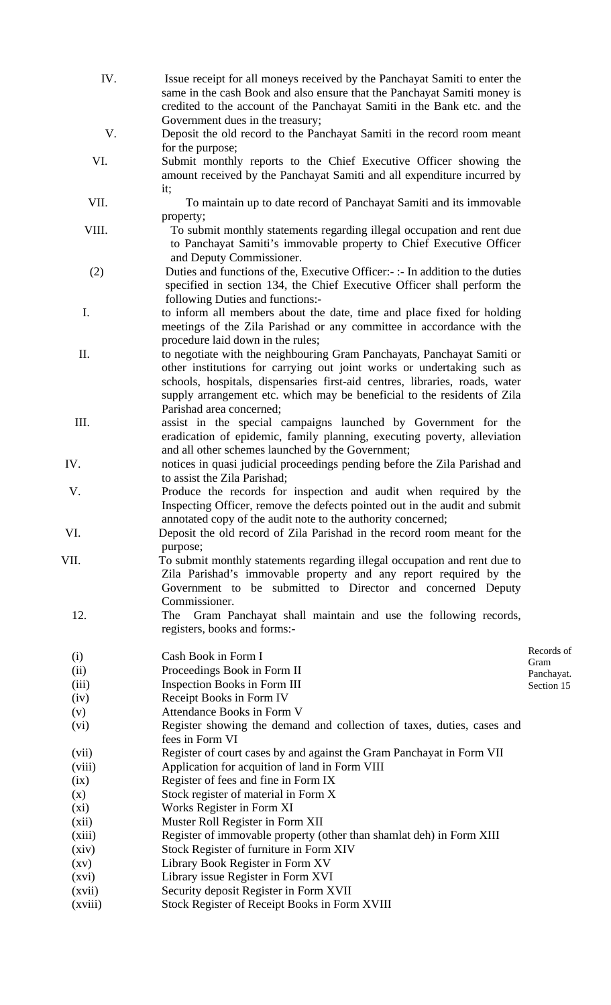- IV. Issue receipt for all moneys received by the Panchayat Samiti to enter the same in the cash Book and also ensure that the Panchayat Samiti money is credited to the account of the Panchayat Samiti in the Bank etc. and the Government dues in the treasury;
- V. Deposit the old record to the Panchayat Samiti in the record room meant for the purpose;
- VI. Submit monthly reports to the Chief Executive Officer showing the amount received by the Panchayat Samiti and all expenditure incurred by it;
- VII. To maintain up to date record of Panchayat Samiti and its immovable property;
- VIII. To submit monthly statements regarding illegal occupation and rent due to Panchayat Samiti's immovable property to Chief Executive Officer and Deputy Commissioner.
- (2) Duties and functions of the, Executive Officer:- :- In addition to the duties specified in section 134, the Chief Executive Officer shall perform the following Duties and functions:-
- I. to inform all members about the date, time and place fixed for holding meetings of the Zila Parishad or any committee in accordance with the procedure laid down in the rules;
- II. to negotiate with the neighbouring Gram Panchayats, Panchayat Samiti or other institutions for carrying out joint works or undertaking such as schools, hospitals, dispensaries first-aid centres, libraries, roads, water supply arrangement etc. which may be beneficial to the residents of Zila Parishad area concerned;
- III. assist in the special campaigns launched by Government for the eradication of epidemic, family planning, executing poverty, alleviation and all other schemes launched by the Government;
- IV. notices in quasi judicial proceedings pending before the Zila Parishad and to assist the Zila Parishad;
- V. Produce the records for inspection and audit when required by the Inspecting Officer, remove the defects pointed out in the audit and submit annotated copy of the audit note to the authority concerned;
- VI. Deposit the old record of Zila Parishad in the record room meant for the purpose;
- VII. To submit monthly statements regarding illegal occupation and rent due to Zila Parishad's immovable property and any report required by the Government to be submitted to Director and concerned Deputy Commissioner.
	- 12. The Gram Panchayat shall maintain and use the following records, registers, books and forms:-
	- (i) Cash Book in Form I
	- (ii) Proceedings Book in Form II
	- (iii) Inspection Books in Form III
	- (iv) Receipt Books in Form IV
	- (v) Attendance Books in Form V
	- (vi) Register showing the demand and collection of taxes, duties, cases and fees in Form VI
	- (vii) Register of court cases by and against the Gram Panchayat in Form VII
	- (viii) Application for acquition of land in Form VIII
	- (ix) Register of fees and fine in Form IX
	- (x) Stock register of material in Form X
	- (xi) Works Register in Form XI
	- (xii) Muster Roll Register in Form XII
	- (xiii) Register of immovable property (other than shamlat deh) in Form XIII
	- (xiv) Stock Register of furniture in Form XIV
	- (xv) Library Book Register in Form XV
	- (xvi) Library issue Register in Form XVI
	- (xvii) Security deposit Register in Form XVII
	- (xviii) Stock Register of Receipt Books in Form XVIII

Records of Gram Panchayat. Section 15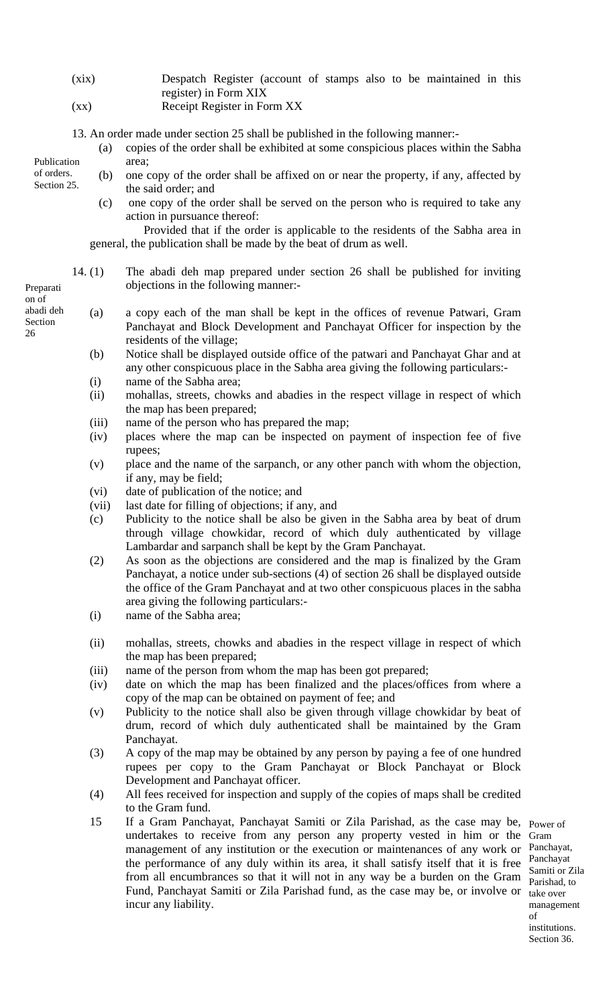- (xix) Despatch Register (account of stamps also to be maintained in this register) in Form XIX
- (xx) Receipt Register in Form XX
- 13. An order made under section 25 shall be published in the following manner:-
	- (a) copies of the order shall be exhibited at some conspicious places within the Sabha area;
	- (b) one copy of the order shall be affixed on or near the property, if any, affected by the said order; and
		- (c) one copy of the order shall be served on the person who is required to take any action in pursuance thereof:

Provided that if the order is applicable to the residents of the Sabha area in general, the publication shall be made by the beat of drum as well.

- 14. (1) The abadi deh map prepared under section 26 shall be published for inviting Preparati objections in the following manner:-
	- (a) a copy each of the man shall be kept in the offices of revenue Patwari, Gram Panchayat and Block Development and Panchayat Officer for inspection by the residents of the village;
		- (b) Notice shall be displayed outside office of the patwari and Panchayat Ghar and at any other conspicuous place in the Sabha area giving the following particulars:-
		- (i) name of the Sabha area;
		- (ii) mohallas, streets, chowks and abadies in the respect village in respect of which the map has been prepared;
		- (iii) name of the person who has prepared the map;
		- (iv) places where the map can be inspected on payment of inspection fee of five rupees;
		- (v) place and the name of the sarpanch, or any other panch with whom the objection, if any, may be field;
		- (vi) date of publication of the notice; and
		- (vii) last date for filling of objections; if any, and
		- (c) Publicity to the notice shall be also be given in the Sabha area by beat of drum through village chowkidar, record of which duly authenticated by village Lambardar and sarpanch shall be kept by the Gram Panchayat.
		- (2) As soon as the objections are considered and the map is finalized by the Gram Panchayat, a notice under sub-sections (4) of section 26 shall be displayed outside the office of the Gram Panchayat and at two other conspicuous places in the sabha area giving the following particulars:-
		- (i) name of the Sabha area;
		- (ii) mohallas, streets, chowks and abadies in the respect village in respect of which the map has been prepared;
		- (iii) name of the person from whom the map has been got prepared;
		- (iv) date on which the map has been finalized and the places/offices from where a copy of the map can be obtained on payment of fee; and
		- (v) Publicity to the notice shall also be given through village chowkidar by beat of drum, record of which duly authenticated shall be maintained by the Gram Panchayat.
		- (3) A copy of the map may be obtained by any person by paying a fee of one hundred rupees per copy to the Gram Panchayat or Block Panchayat or Block Development and Panchayat officer.
		- (4) All fees received for inspection and supply of the copies of maps shall be credited to the Gram fund.
		- 15 If a Gram Panchayat, Panchayat Samiti or Zila Parishad, as the case may be, Power of undertakes to receive from any person any property vested in him or the Gram management of any institution or the execution or maintenances of any work or Panchayat, the performance of any duly within its area, it shall satisfy itself that it is free Panchayat from all encumbrances so that it will not in any way be a burden on the Gram Parishad, to Fund, Panchayat Samiti or Zila Parishad fund, as the case may be, or involve or incur any liability.

Samiti or Zila take over management of institutions. Section 36.

on of abadi deh Section 26

Publication of orders. Section 25.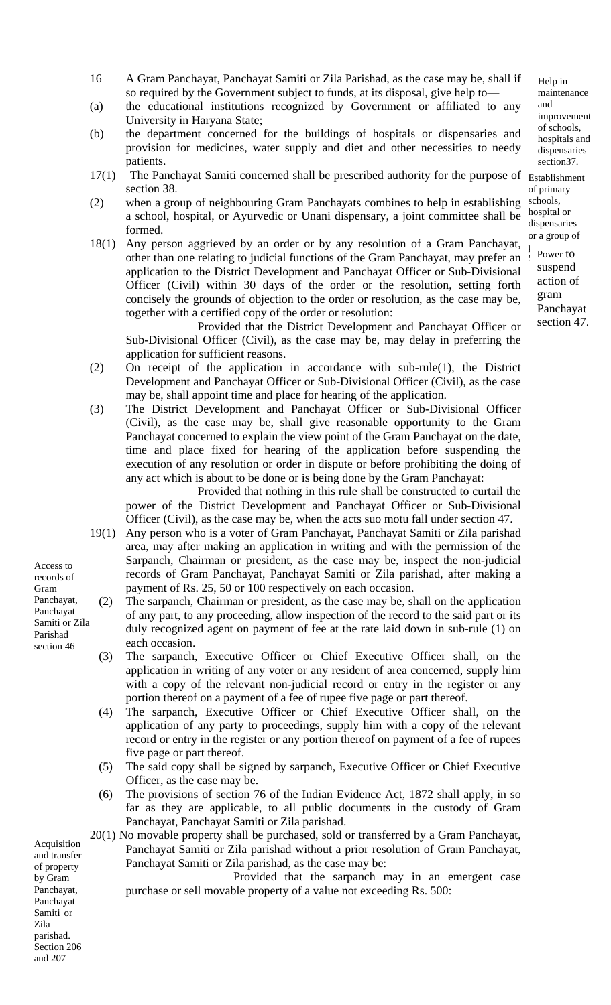- (a) the educational institutions recognized by Government or affiliated to any University in Haryana State;
- (b) the department concerned for the buildings of hospitals or dispensaries and provision for medicines, water supply and diet and other necessities to needy patients.
- 17(1) The Panchayat Samiti concerned shall be prescribed authority for the purpose of Establishment section 38.
- (2) when a group of neighbouring Gram Panchayats combines to help in establishing a school, hospital, or Ayurvedic or Unani dispensary, a joint committee shall be formed.
- 18(1) Any person aggrieved by an order or by any resolution of a Gram Panchayat, other than one relating to judicial functions of the Gram Panchayat, may prefer an application to the District Development and Panchayat Officer or Sub-Divisional Officer (Civil) within 30 days of the order or the resolution, setting forth concisely the grounds of objection to the order or resolution, as the case may be, together with a certified copy of the order or resolution:

Provided that the District Development and Panchayat Officer or Sub-Divisional Officer (Civil), as the case may be, may delay in preferring the application for sufficient reasons.

- (2) On receipt of the application in accordance with sub-rule(1), the District Development and Panchayat Officer or Sub-Divisional Officer (Civil), as the case may be, shall appoint time and place for hearing of the application.
- (3) The District Development and Panchayat Officer or Sub-Divisional Officer (Civil), as the case may be, shall give reasonable opportunity to the Gram Panchayat concerned to explain the view point of the Gram Panchayat on the date, time and place fixed for hearing of the application before suspending the execution of any resolution or order in dispute or before prohibiting the doing of any act which is about to be done or is being done by the Gram Panchayat:

Provided that nothing in this rule shall be constructed to curtail the power of the District Development and Panchayat Officer or Sub-Divisional Officer (Civil), as the case may be, when the acts suo motu fall under section 47.

- 19(1) Any person who is a voter of Gram Panchayat, Panchayat Samiti or Zila parishad area, may after making an application in writing and with the permission of the Sarpanch, Chairman or president, as the case may be, inspect the non-judicial records of Gram Panchayat, Panchayat Samiti or Zila parishad, after making a payment of Rs. 25, 50 or 100 respectively on each occasion.
- (2) The sarpanch, Chairman or president, as the case may be, shall on the application of any part, to any proceeding, allow inspection of the record to the said part or its duly recognized agent on payment of fee at the rate laid down in sub-rule (1) on each occasion.
- (3) The sarpanch, Executive Officer or Chief Executive Officer shall, on the application in writing of any voter or any resident of area concerned, supply him with a copy of the relevant non-judicial record or entry in the register or any portion thereof on a payment of a fee of rupee five page or part thereof.
- (4) The sarpanch, Executive Officer or Chief Executive Officer shall, on the application of any party to proceedings, supply him with a copy of the relevant record or entry in the register or any portion thereof on payment of a fee of rupees five page or part thereof.
- (5) The said copy shall be signed by sarpanch, Executive Officer or Chief Executive Officer, as the case may be.
- (6) The provisions of section 76 of the Indian Evidence Act, 1872 shall apply, in so far as they are applicable, to all public documents in the custody of Gram Panchayat, Panchayat Samiti or Zila parishad.
- 20(1) No movable property shall be purchased, sold or transferred by a Gram Panchayat, Panchayat Samiti or Zila parishad without a prior resolution of Gram Panchayat, Panchayat Samiti or Zila parishad, as the case may be:

Provided that the sarpanch may in an emergent case purchase or sell movable property of a value not exceeding Rs. 500:

Access to records of Gram Panchayat, Panchayat Samiti or Zila Parishad section 46

Acquisition and transfer of property by Gram Panchayat, Panchayat Samiti or Zila parishad. Section 206 and 207

Help in maintenance and improvement of schools, hospitals and dispensaries section37.

of primary schools, hospital or dispensaries or a group of  $\mathbf{I}$ 

Power to suspend action of gram Panchayat section 47.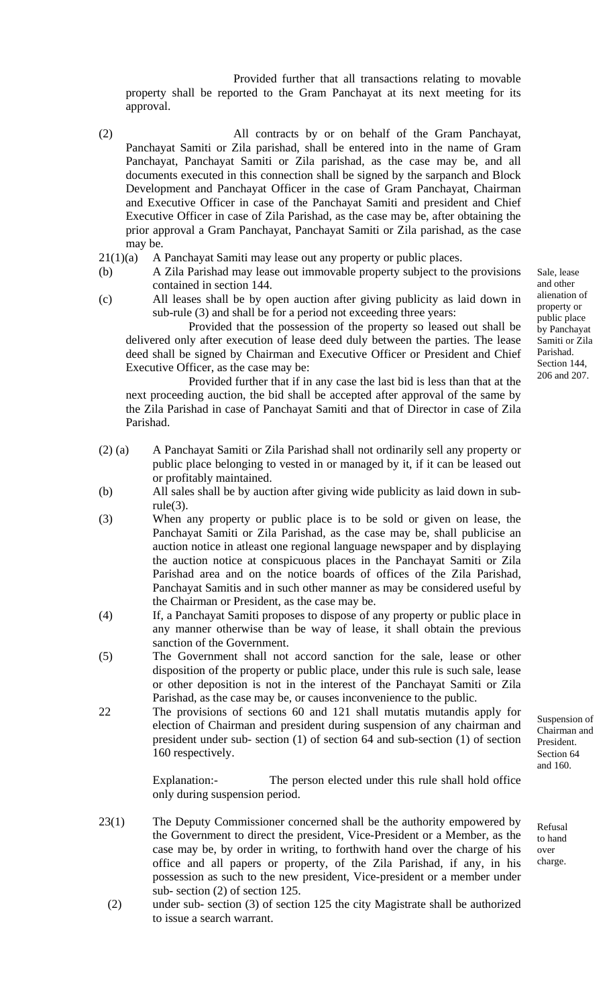Provided further that all transactions relating to movable property shall be reported to the Gram Panchayat at its next meeting for its approval.

- (2) All contracts by or on behalf of the Gram Panchayat, Panchayat Samiti or Zila parishad, shall be entered into in the name of Gram Panchayat, Panchayat Samiti or Zila parishad, as the case may be, and all documents executed in this connection shall be signed by the sarpanch and Block Development and Panchayat Officer in the case of Gram Panchayat, Chairman and Executive Officer in case of the Panchayat Samiti and president and Chief Executive Officer in case of Zila Parishad, as the case may be, after obtaining the prior approval a Gram Panchayat, Panchayat Samiti or Zila parishad, as the case may be.
- 21(1)(a) A Panchayat Samiti may lease out any property or public places.
- (b) A Zila Parishad may lease out immovable property subject to the provisions contained in section 144.
- (c) All leases shall be by open auction after giving publicity as laid down in sub-rule (3) and shall be for a period not exceeding three years:

Provided that the possession of the property so leased out shall be delivered only after execution of lease deed duly between the parties. The lease deed shall be signed by Chairman and Executive Officer or President and Chief Executive Officer, as the case may be:

Provided further that if in any case the last bid is less than that at the next proceeding auction, the bid shall be accepted after approval of the same by the Zila Parishad in case of Panchayat Samiti and that of Director in case of Zila Parishad.

- (2) (a) A Panchayat Samiti or Zila Parishad shall not ordinarily sell any property or public place belonging to vested in or managed by it, if it can be leased out or profitably maintained.
- (b) All sales shall be by auction after giving wide publicity as laid down in sub $rule(3).$
- (3) When any property or public place is to be sold or given on lease, the Panchayat Samiti or Zila Parishad, as the case may be, shall publicise an auction notice in atleast one regional language newspaper and by displaying the auction notice at conspicuous places in the Panchayat Samiti or Zila Parishad area and on the notice boards of offices of the Zila Parishad, Panchayat Samitis and in such other manner as may be considered useful by the Chairman or President, as the case may be.
- (4) If, a Panchayat Samiti proposes to dispose of any property or public place in any manner otherwise than be way of lease, it shall obtain the previous sanction of the Government.
- (5) The Government shall not accord sanction for the sale, lease or other disposition of the property or public place, under this rule is such sale, lease or other deposition is not in the interest of the Panchayat Samiti or Zila Parishad, as the case may be, or causes inconvenience to the public.
- 22 The provisions of sections 60 and 121 shall mutatis mutandis apply for election of Chairman and president during suspension of any chairman and president under sub- section (1) of section 64 and sub-section (1) of section 160 respectively.

Explanation:- The person elected under this rule shall hold office only during suspension period.

- 23(1) The Deputy Commissioner concerned shall be the authority empowered by the Government to direct the president, Vice-President or a Member, as the case may be, by order in writing, to forthwith hand over the charge of his office and all papers or property, of the Zila Parishad, if any, in his possession as such to the new president, Vice-president or a member under sub- section (2) of section 125.
	- (2) under sub- section (3) of section 125 the city Magistrate shall be authorized to issue a search warrant.

Sale, lease and other alienation of property or public place by Panchayat Samiti or Zila Parishad. Section 144 206 and 207.

Chairman and President. Section 64 and 160.

Suspension of

Refusal to hand over charge.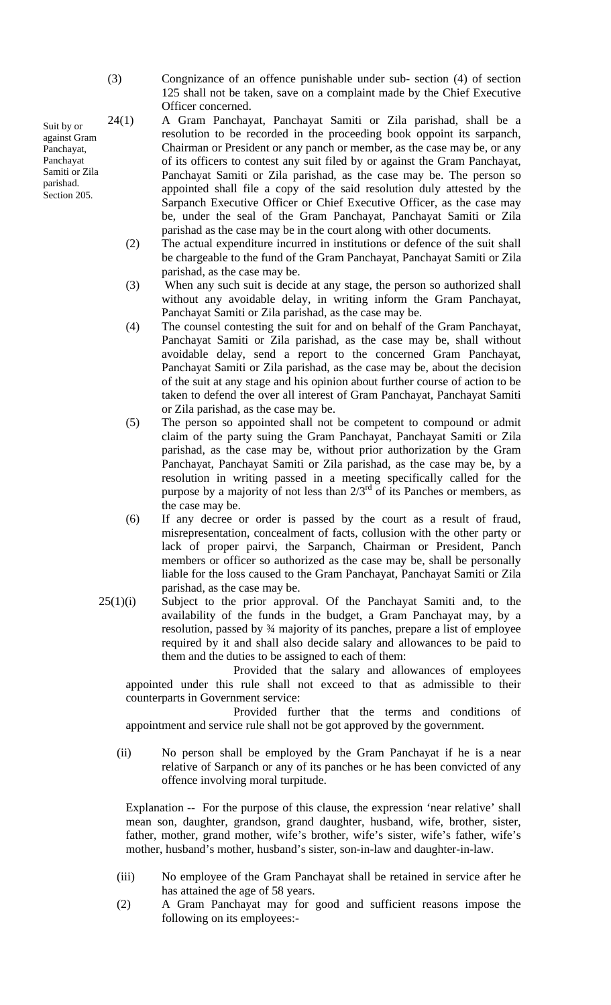Suit by or against Gram Panchayat, Panchayat Samiti or Zila parishad. Section 205.

- (3) Congnizance of an offence punishable under sub- section (4) of section 125 shall not be taken, save on a complaint made by the Chief Executive Officer concerned.
- 24(1) A Gram Panchayat, Panchayat Samiti or Zila parishad, shall be a resolution to be recorded in the proceeding book oppoint its sarpanch, Chairman or President or any panch or member, as the case may be, or any of its officers to contest any suit filed by or against the Gram Panchayat, Panchayat Samiti or Zila parishad, as the case may be. The person so appointed shall file a copy of the said resolution duly attested by the Sarpanch Executive Officer or Chief Executive Officer, as the case may be, under the seal of the Gram Panchayat, Panchayat Samiti or Zila parishad as the case may be in the court along with other documents.
	- (2) The actual expenditure incurred in institutions or defence of the suit shall be chargeable to the fund of the Gram Panchayat, Panchayat Samiti or Zila parishad, as the case may be.
	- (3) When any such suit is decide at any stage, the person so authorized shall without any avoidable delay, in writing inform the Gram Panchayat, Panchayat Samiti or Zila parishad, as the case may be.
	- (4) The counsel contesting the suit for and on behalf of the Gram Panchayat, Panchayat Samiti or Zila parishad, as the case may be, shall without avoidable delay, send a report to the concerned Gram Panchayat, Panchayat Samiti or Zila parishad, as the case may be, about the decision of the suit at any stage and his opinion about further course of action to be taken to defend the over all interest of Gram Panchayat, Panchayat Samiti or Zila parishad, as the case may be.
	- (5) The person so appointed shall not be competent to compound or admit claim of the party suing the Gram Panchayat, Panchayat Samiti or Zila parishad, as the case may be, without prior authorization by the Gram Panchayat, Panchayat Samiti or Zila parishad, as the case may be, by a resolution in writing passed in a meeting specifically called for the purpose by a majority of not less than  $2/3<sup>rd</sup>$  of its Panches or members, as the case may be.
	- (6) If any decree or order is passed by the court as a result of fraud, misrepresentation, concealment of facts, collusion with the other party or lack of proper pairvi, the Sarpanch, Chairman or President, Panch members or officer so authorized as the case may be, shall be personally liable for the loss caused to the Gram Panchayat, Panchayat Samiti or Zila parishad, as the case may be.
- 25(1)(i) Subject to the prior approval. Of the Panchayat Samiti and, to the availability of the funds in the budget, a Gram Panchayat may, by a resolution, passed by ¾ majority of its panches, prepare a list of employee required by it and shall also decide salary and allowances to be paid to them and the duties to be assigned to each of them:

Provided that the salary and allowances of employees appointed under this rule shall not exceed to that as admissible to their counterparts in Government service:

Provided further that the terms and conditions of appointment and service rule shall not be got approved by the government.

(ii) No person shall be employed by the Gram Panchayat if he is a near relative of Sarpanch or any of its panches or he has been convicted of any offence involving moral turpitude.

Explanation -- For the purpose of this clause, the expression 'near relative' shall mean son, daughter, grandson, grand daughter, husband, wife, brother, sister, father, mother, grand mother, wife's brother, wife's sister, wife's father, wife's mother, husband's mother, husband's sister, son-in-law and daughter-in-law.

- (iii) No employee of the Gram Panchayat shall be retained in service after he has attained the age of 58 years.
- (2) A Gram Panchayat may for good and sufficient reasons impose the following on its employees:-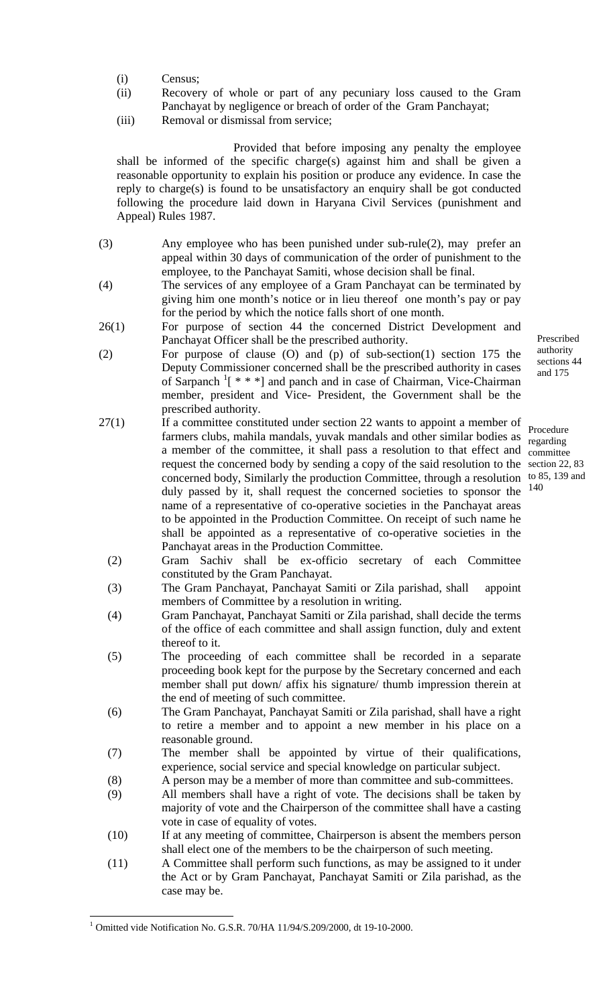- (i) Census;
- (ii) Recovery of whole or part of any pecuniary loss caused to the Gram
- Panchayat by negligence or breach of order of the Gram Panchayat;
- (iii) Removal or dismissal from service;

Provided that before imposing any penalty the employee shall be informed of the specific charge(s) against him and shall be given a reasonable opportunity to explain his position or produce any evidence. In case the reply to charge(s) is found to be unsatisfactory an enquiry shall be got conducted following the procedure laid down in Haryana Civil Services (punishment and Appeal) Rules 1987.

- (3) Any employee who has been punished under sub-rule(2), may prefer an appeal within 30 days of communication of the order of punishment to the employee, to the Panchayat Samiti, whose decision shall be final.
- (4) The services of any employee of a Gram Panchayat can be terminated by giving him one month's notice or in lieu thereof one month's pay or pay for the period by which the notice falls short of one month.
- 26(1) For purpose of section 44 the concerned District Development and Panchayat Officer shall be the prescribed authority.
- (2) For purpose of clause (O) and (p) of sub-section(1) section 175 the Deputy Commissioner concerned shall be the prescribed authority in cases of Sarpanch<sup>1</sup>[\[](#page-13-0) \* \* \*] and panch and in case of Chairman, Vice-Chairman member, president and Vice- President, the Government shall be the prescribed authority.
- 27(1) If a committee constituted under section 22 wants to appoint a member of farmers clubs, mahila mandals, yuvak mandals and other similar bodies as  $\frac{120}{\text{recarding}}$ a member of the committee, it shall pass a resolution to that effect and committee request the concerned body by sending a copy of the said resolution to the section 22, 83 concerned body, Similarly the production Committee, through a resolution to 85, 139 and duly passed by it, shall request the concerned societies to sponsor the  $140$ name of a representative of co-operative societies in the Panchayat areas to be appointed in the Production Committee. On receipt of such name he shall be appointed as a representative of co-operative societies in the Panchayat areas in the Production Committee.
	- (2) Gram Sachiv shall be ex-officio secretary of each Committee constituted by the Gram Panchayat.
	- (3) The Gram Panchayat, Panchayat Samiti or Zila parishad, shall appoint members of Committee by a resolution in writing.
	- (4) Gram Panchayat, Panchayat Samiti or Zila parishad, shall decide the terms of the office of each committee and shall assign function, duly and extent thereof to it.
	- (5) The proceeding of each committee shall be recorded in a separate proceeding book kept for the purpose by the Secretary concerned and each member shall put down/ affix his signature/ thumb impression therein at the end of meeting of such committee.
	- (6) The Gram Panchayat, Panchayat Samiti or Zila parishad, shall have a right to retire a member and to appoint a new member in his place on a reasonable ground.
	- (7) The member shall be appointed by virtue of their qualifications, experience, social service and special knowledge on particular subject.
	- (8) A person may be a member of more than committee and sub-committees.
	- (9) All members shall have a right of vote. The decisions shall be taken by majority of vote and the Chairperson of the committee shall have a casting vote in case of equality of votes.
	- (10) If at any meeting of committee, Chairperson is absent the members person shall elect one of the members to be the chairperson of such meeting.
	- (11) A Committee shall perform such functions, as may be assigned to it under the Act or by Gram Panchayat, Panchayat Samiti or Zila parishad, as the case may be.

<u>.</u>

Prescribed authority sections 44 and 175

regarding

<span id="page-13-0"></span><sup>&</sup>lt;sup>1</sup> Omitted vide Notification No. G.S.R. 70/HA 11/94/S.209/2000, dt 19-10-2000.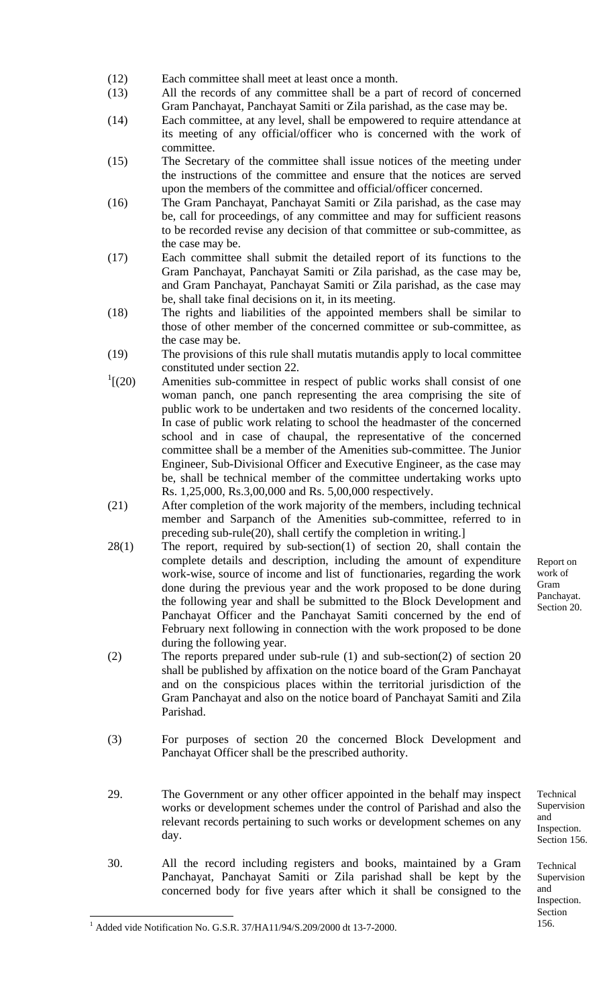- (12) Each committee shall meet at least once a month.
- (13) All the records of any committee shall be a part of record of concerned Gram Panchayat, Panchayat Samiti or Zila parishad, as the case may be.
- (14) Each committee, at any level, shall be empowered to require attendance at its meeting of any official/officer who is concerned with the work of committee.
- (15) The Secretary of the committee shall issue notices of the meeting under the instructions of the committee and ensure that the notices are served upon the members of the committee and official/officer concerned.
- (16) The Gram Panchayat, Panchayat Samiti or Zila parishad, as the case may be, call for proceedings, of any committee and may for sufficient reasons to be recorded revise any decision of that committee or sub-committee, as the case may be.
- (17) Each committee shall submit the detailed report of its functions to the Gram Panchayat, Panchayat Samiti or Zila parishad, as the case may be, and Gram Panchayat, Panchayat Samiti or Zila parishad, as the case may be, shall take final decisions on it, in its meeting.
- (18) The rights and liabilities of the appointed members shall be similar to those of other member of the concerned committee or sub-committee, as the case may be.
- (19) The provisions of this rule shall mutatis mutandis apply to local committee constituted under section 22.
- $^{1}$ [(20) Amenities sub-committee in respect of public works shall consist of one woman panch, one panch representing the area comprising the site of public work to be undertaken and two residents of the concerned locality. In case of public work relating to school the headmaster of the concerned school and in case of chaupal, the representative of the concerned committee shall be a member of the Amenities sub-committee. The Junior Engineer, Sub-Divisional Officer and Executive Engineer, as the case may be, shall be technical member of the committee undertaking works upto Rs. 1,25,000, Rs.3,00,000 and Rs. 5,00,000 respectively.
- (21) After completion of the work majority of the members, including technical member and Sarpanch of the Amenities sub-committee, referred to in preceding sub-rule(20), shall certify the completion in writing.]
- 28(1) The report, required by sub-section(1) of section 20, shall contain the complete details and description, including the amount of expenditure work-wise, source of income and list of functionaries, regarding the work done during the previous year and the work proposed to be done during the following year and shall be submitted to the Block Development and Panchayat Officer and the Panchayat Samiti concerned by the end of February next following in connection with the work proposed to be done during the following year.
- (2) The reports prepared under sub-rule (1) and sub-section(2) of section 20 shall be published by affixation on the notice board of the Gram Panchayat and on the conspicious places within the territorial jurisdiction of the Gram Panchayat and also on the notice board of Panchayat Samiti and Zila Parishad.
- (3) For purposes of section 20 the concerned Block Development and Panchayat Officer shall be the prescribed authority.
- 29. The Government or any other officer appointed in the behalf may inspect works or development schemes under the control of Parishad and also the relevant records pertaining to such works or development schemes on any day.
- 30. All the record including registers and books, maintained by a Gram Panchayat, Panchayat Samiti or Zila parishad shall be kept by the concerned body for five years after which it shall be consigned to the

Report on work of Gram Panchayat. Section 20.

Technical Supervision and Inspection. Section 156.

Technical Supervision and Inspection. Section 156.

<span id="page-14-0"></span><sup>1</sup> Added vide Notification No. G.S.R. 37/HA11/94/S.209/2000 dt 13-7-2000.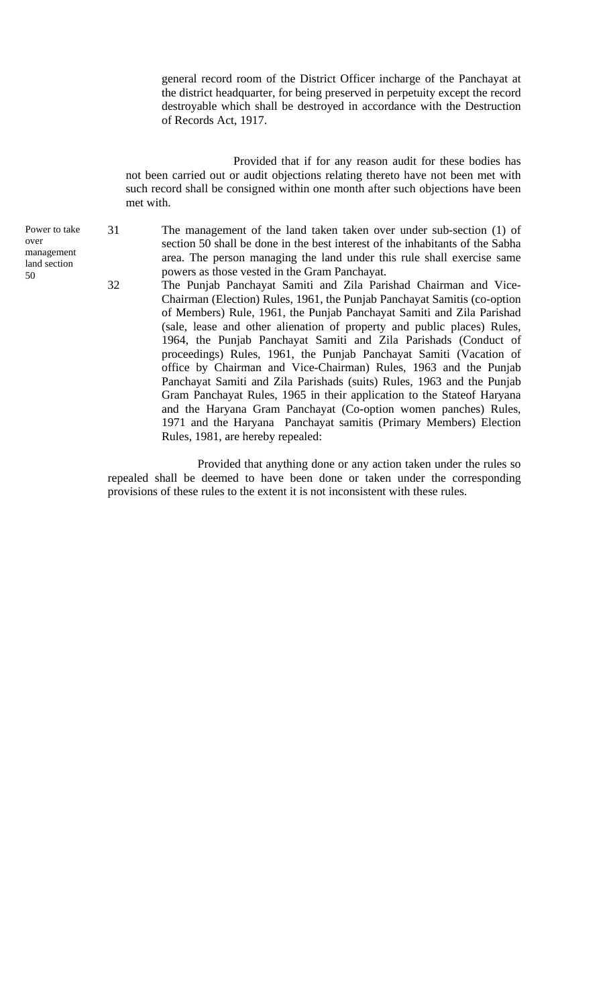general record room of the District Officer incharge of the Panchayat at the district headquarter, for being preserved in perpetuity except the record destroyable which shall be destroyed in accordance with the Destruction of Records Act, 1917.

Provided that if for any reason audit for these bodies has not been carried out or audit objections relating thereto have not been met with such record shall be consigned within one month after such objections have been met with.

31 The management of the land taken taken over under sub-section (1) of section 50 shall be done in the best interest of the inhabitants of the Sabha area. The person managing the land under this rule shall exercise same powers as those vested in the Gram Panchayat.

32 The Punjab Panchayat Samiti and Zila Parishad Chairman and Vice-Chairman (Election) Rules, 1961, the Punjab Panchayat Samitis (co-option of Members) Rule, 1961, the Punjab Panchayat Samiti and Zila Parishad (sale, lease and other alienation of property and public places) Rules, 1964, the Punjab Panchayat Samiti and Zila Parishads (Conduct of proceedings) Rules, 1961, the Punjab Panchayat Samiti (Vacation of office by Chairman and Vice-Chairman) Rules, 1963 and the Punjab Panchayat Samiti and Zila Parishads (suits) Rules, 1963 and the Punjab Gram Panchayat Rules, 1965 in their application to the Stateof Haryana and the Haryana Gram Panchayat (Co-option women panches) Rules, 1971 and the Haryana Panchayat samitis (Primary Members) Election Rules, 1981, are hereby repealed:

Provided that anything done or any action taken under the rules so repealed shall be deemed to have been done or taken under the corresponding provisions of these rules to the extent it is not inconsistent with these rules.

Power to take over management land section 50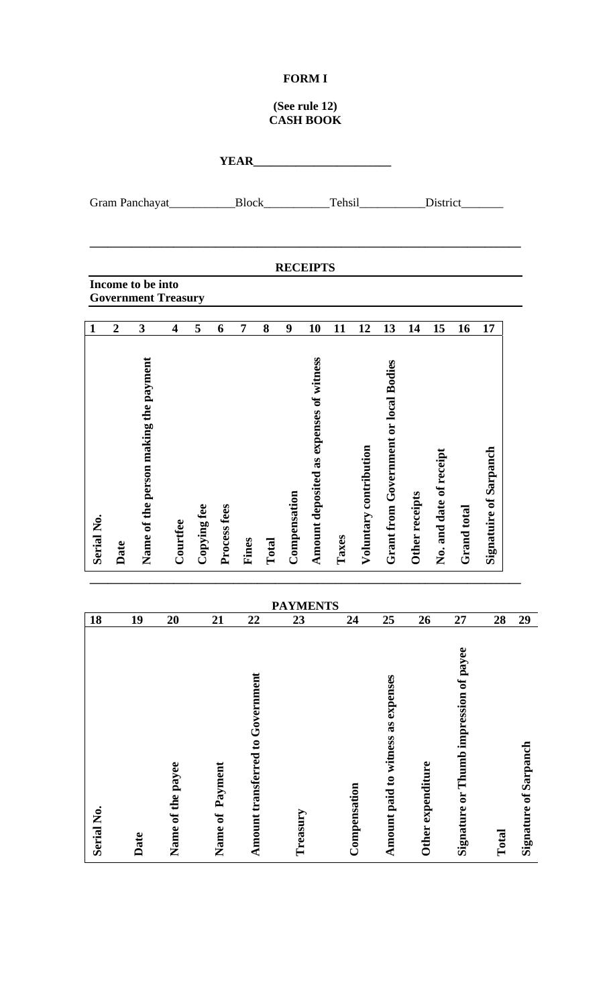#### **FORM I**

#### **(See rule 12) CASH BOOK**

| Serial No.                             | 18 |                 | Serial No.                                   | $\mathbf{1}$                                          |                   |                 |             |
|----------------------------------------|----|-----------------|----------------------------------------------|-------------------------------------------------------|-------------------|-----------------|-------------|
|                                        |    |                 | Date                                         | $\overline{2}$                                        |                   |                 |             |
| Date                                   | 19 |                 | Name of the person making the payment        | <b>Government Treasury</b><br>$\overline{\mathbf{3}}$ | Income to be into | Gram Panchayat_ |             |
| Name of the payee                      | 20 |                 | Courtfee                                     | $\overline{\mathbf{4}}$                               |                   |                 |             |
|                                        |    |                 | Copying fee                                  | 5                                                     |                   |                 |             |
| Name of Payment                        | 21 |                 | Process fees                                 | 6                                                     |                   |                 |             |
| Amount transferred to Government       | 22 |                 | Fines                                        | $\overline{7}$                                        |                   | Block_          | <b>YEAR</b> |
|                                        |    |                 | Total                                        | 8                                                     |                   |                 |             |
| Treasury                               | 23 |                 | Compensation                                 | 9                                                     |                   |                 |             |
|                                        |    | <b>PAYMENTS</b> | Amount deposited as expenses of witness      | 10                                                    | <b>RECEIPTS</b>   |                 |             |
|                                        |    |                 | Taxes                                        | 11                                                    |                   |                 |             |
| Compensation                           | 24 |                 | Voluntary contribution                       | 12                                                    |                   | Tehsil          |             |
| Amount paid to witness as expenses     | 25 |                 | <b>Grant from Government or local Bodies</b> | 13                                                    |                   |                 |             |
|                                        | 26 |                 | Other receipts                               | 14                                                    |                   |                 |             |
| Other expenditure                      |    |                 | No. and date of receipt                      | 15                                                    |                   | District_       |             |
| Signature or Thumb impression of payee | 27 |                 | Grand total                                  | 16                                                    |                   |                 |             |
| Total                                  | 28 |                 | <b>Signatuire of Sarpanch</b>                | 17                                                    |                   |                 |             |
| <b>Signature of Sarpanch</b>           | 29 |                 |                                              |                                                       |                   |                 |             |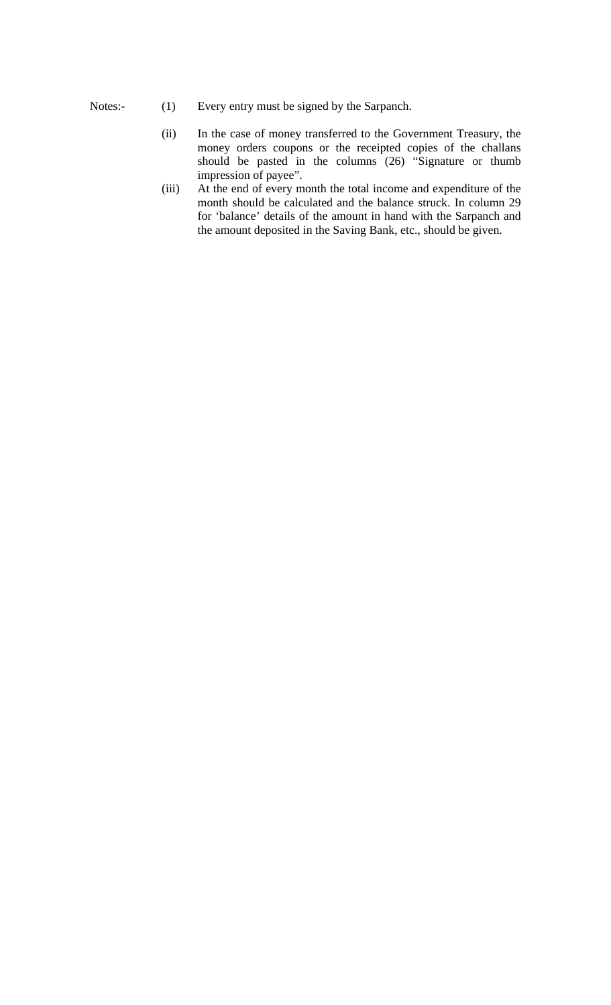- Notes:- (1) Every entry must be signed by the Sarpanch.
	- (ii) In the case of money transferred to the Government Treasury, the money orders coupons or the receipted copies of the challans should be pasted in the columns (26) "Signature or thumb impression of payee".
	- (iii) At the end of every month the total income and expenditure of the month should be calculated and the balance struck. In column 29 for 'balance' details of the amount in hand with the Sarpanch and the amount deposited in the Saving Bank, etc., should be given.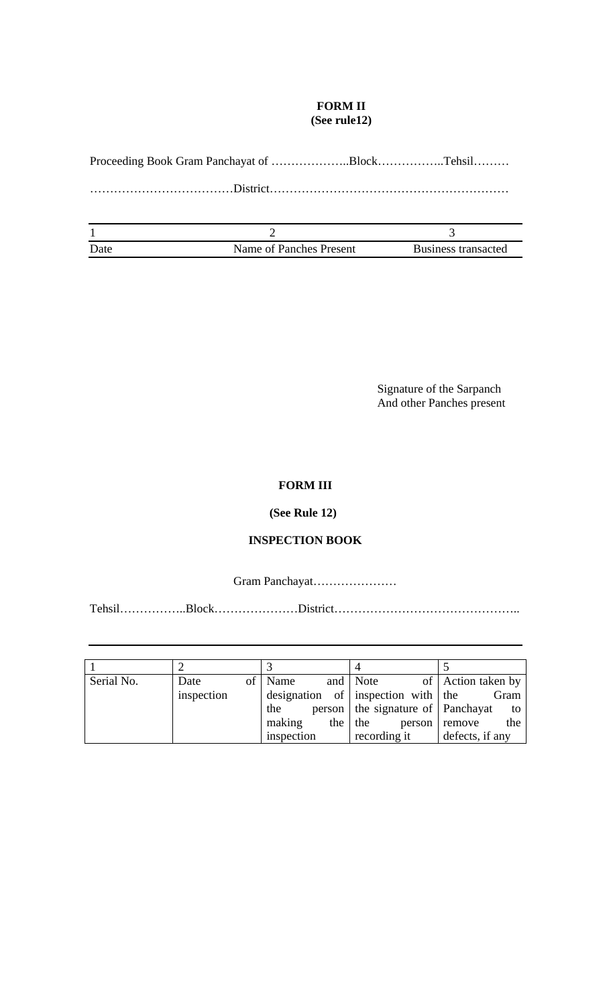#### **FORM II (See rule12)**

Proceeding Book Gram Panchayat of ………………..Block……………..Tehsil………

………………………………District……………………………………………………

| Date | Name of Panches Present | Business transacted |
|------|-------------------------|---------------------|

 Signature of the Sarpanch And other Panches present

# **FORM III**

## **(See Rule 12)**

## **INSPECTION BOOK**

Gram Panchayat…………………

Tehsil……………..Block…………………District………………………………………..

| Serial No. | Date       | of   Name  |  | and Note                              | of Action taken by   |
|------------|------------|------------|--|---------------------------------------|----------------------|
|            | inspection |            |  | designation of inspection with the    | Gram                 |
|            |            | the        |  | person   the signature of   Panchayat | to                   |
|            |            | making     |  | the $ $ the                           | the<br>person remove |
|            |            | inspection |  | recording it                          | defects, if any      |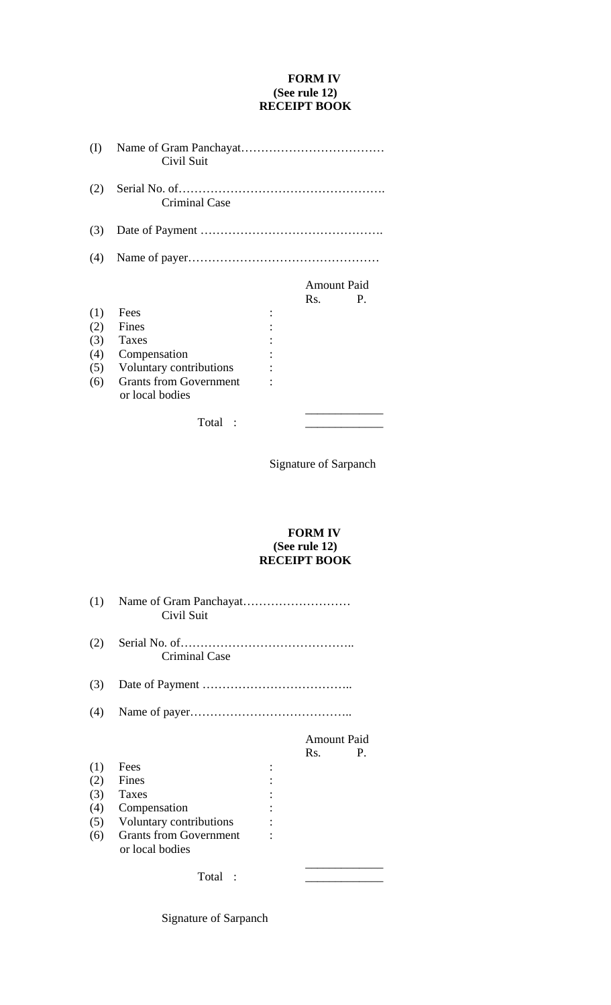#### **FORM IV (See rule 12) RECEIPT BOOK**

| (I) | Civil Suit                                       |                    |    |
|-----|--------------------------------------------------|--------------------|----|
| (2) | <b>Criminal Case</b>                             |                    |    |
| (3) |                                                  |                    |    |
| (4) |                                                  |                    |    |
|     |                                                  | <b>Amount Paid</b> |    |
|     |                                                  | Rs.                | P. |
| (1) | Fees                                             |                    |    |
| (2) | Fines                                            |                    |    |
| (3) | Taxes                                            |                    |    |
| (4) | Compensation                                     |                    |    |
| (5) | Voluntary contributions                          |                    |    |
| (6) | <b>Grants from Government</b><br>or local bodies |                    |    |
|     | Total                                            |                    |    |

Signature of Sarpanch

#### **FORM IV (See rule 12) RECEIPT BOOK**

| (1) | Civil Suit                                       |                    |    |
|-----|--------------------------------------------------|--------------------|----|
| (2) | <b>Criminal Case</b>                             |                    |    |
| (3) |                                                  |                    |    |
| (4) |                                                  |                    |    |
|     |                                                  | <b>Amount Paid</b> |    |
|     |                                                  | Rs.                | P. |
| (1) | Fees                                             |                    |    |
| (2) | Fines                                            |                    |    |
| (3) | Taxes                                            |                    |    |
| (4) | Compensation                                     |                    |    |
| (5) | Voluntary contributions                          |                    |    |
| (6) | <b>Grants from Government</b><br>or local bodies |                    |    |
|     | Total                                            |                    |    |

Signature of Sarpanch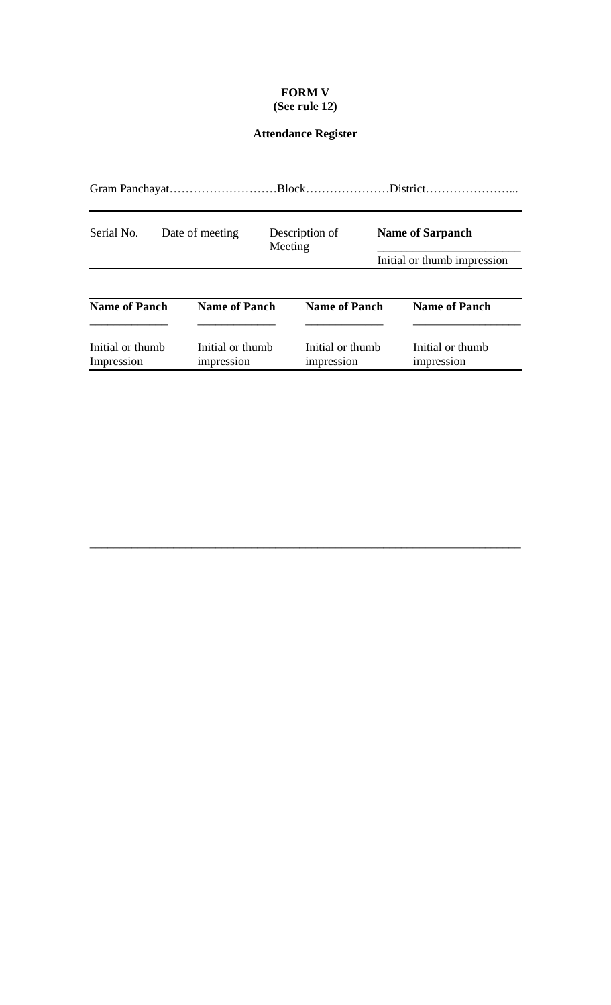## **FORM V (See rule 12)**

# **Attendance Register**

| Serial No.<br>Date of meeting  |  | Meeting                        | Description of |                                | <b>Name of Sarpanch</b> |                                |
|--------------------------------|--|--------------------------------|----------------|--------------------------------|-------------------------|--------------------------------|
|                                |  |                                |                |                                |                         | Initial or thumb impression    |
| <b>Name of Panch</b>           |  | <b>Name of Panch</b>           |                | <b>Name of Panch</b>           |                         | <b>Name of Panch</b>           |
| Initial or thumb<br>Impression |  | Initial or thumb<br>impression |                | Initial or thumb<br>impression |                         | Initial or thumb<br>impression |

\_\_\_\_\_\_\_\_\_\_\_\_\_\_\_\_\_\_\_\_\_\_\_\_\_\_\_\_\_\_\_\_\_\_\_\_\_\_\_\_\_\_\_\_\_\_\_\_\_\_\_\_\_\_\_\_\_\_\_\_\_\_\_\_\_\_\_\_\_\_\_\_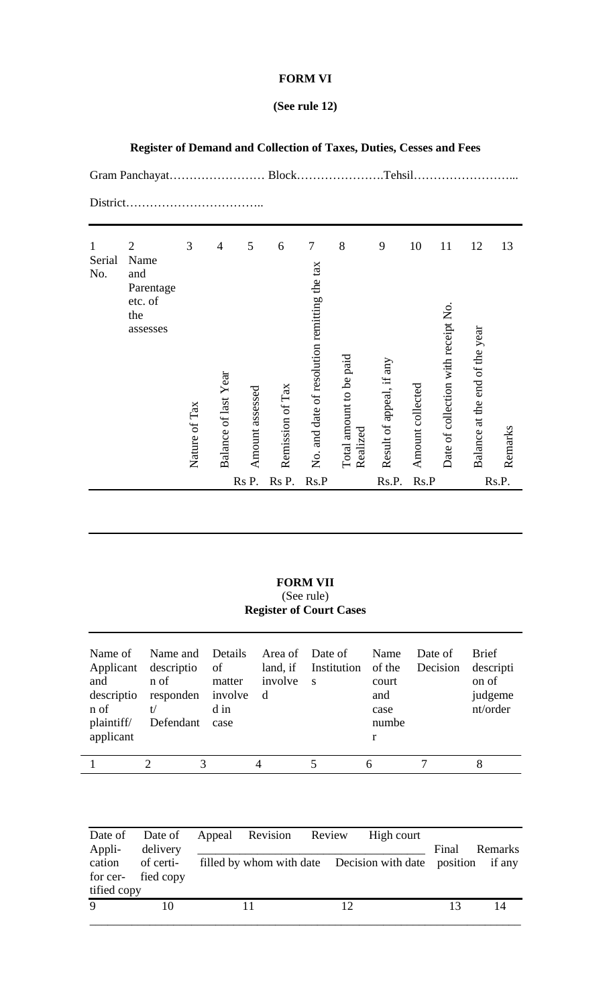#### **FORM VI**

# **(See rule 12)**

|                               |                                                                          |                    |                                        |                      |                       |                                                        |                                          | Tehsil.                       |                        |                                           |                                      |               |
|-------------------------------|--------------------------------------------------------------------------|--------------------|----------------------------------------|----------------------|-----------------------|--------------------------------------------------------|------------------------------------------|-------------------------------|------------------------|-------------------------------------------|--------------------------------------|---------------|
| District.                     |                                                                          |                    |                                        |                      |                       |                                                        |                                          |                               |                        |                                           |                                      |               |
| $\mathbf{1}$<br>Serial<br>No. | $\overline{2}$<br>Name<br>and<br>Parentage<br>etc. of<br>the<br>assesses | 3<br>Nature of Tax | $\overline{4}$<br>Balance of last Year | 5<br>Amount assessed | 6<br>Remission of Tax | $\tau$<br>No. and date of resolution remitting the tax | 8<br>Total amount to be paid<br>Realized | 9<br>Result of appeal, if any | 10<br>Amount collected | 11<br>Date of collection with receipt No. | 12<br>Balance at the end of the year | 13<br>Remarks |
|                               |                                                                          |                    |                                        | Rs P.                | Rs P.                 | Rs.P                                                   |                                          | Rs.P.                         | Rs.P                   |                                           |                                      | Rs.P.         |

**Register of Demand and Collection of Taxes, Duties, Cesses and Fees** 

**FORM VII**  (See rule) **Register of Court Cases** 

| Name of<br>and<br>descriptio<br>n of<br>plaintiff/<br>applicant | Name and Details Area of Date of<br>Applicant descriptio of<br>n of<br>responden involve<br>t/<br>Defendant | matter<br>d in<br>case | land, if<br>involve<br>d | Institution of the<br>$\mathbf{s}$ | Name<br>court<br>and<br>case<br>numbe<br>r | Date of<br>Decision | <b>Brief</b><br>descripti<br>on of<br>judgeme<br>nt/order |
|-----------------------------------------------------------------|-------------------------------------------------------------------------------------------------------------|------------------------|--------------------------|------------------------------------|--------------------------------------------|---------------------|-----------------------------------------------------------|
|                                                                 |                                                                                                             |                        | 4                        |                                    |                                            |                     |                                                           |

| Appli-<br>tified copy | delivery<br>cation of certi-<br>for cer- fied copy | Date of Date of Appeal Revision Review |    | High court<br>filled by whom with date Decision with date position | Final | Remarks<br>if any |
|-----------------------|----------------------------------------------------|----------------------------------------|----|--------------------------------------------------------------------|-------|-------------------|
| $\mathbf{Q}$          |                                                    |                                        | 12 |                                                                    |       |                   |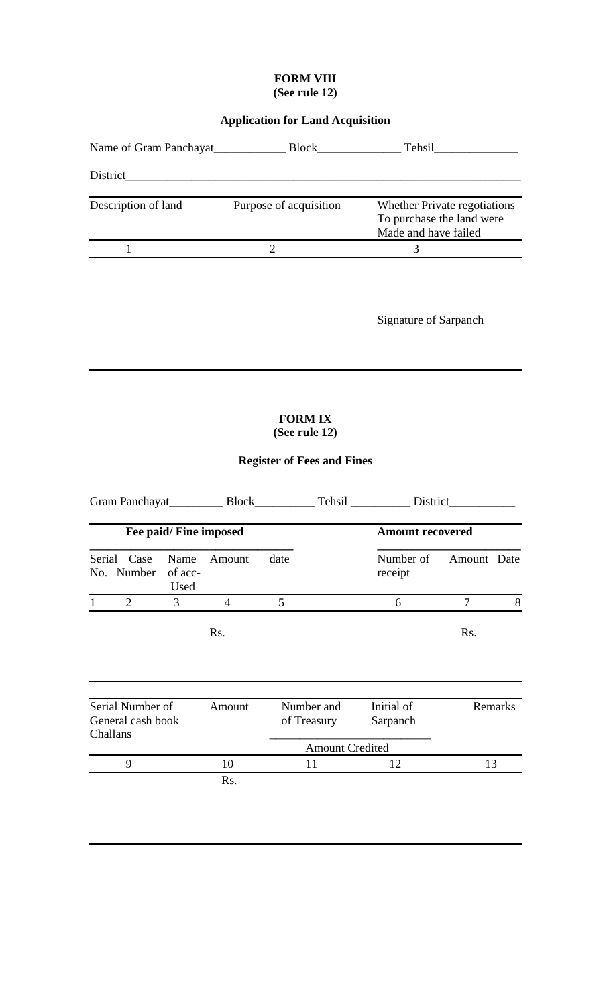#### **FORM VIII (See rule 12)**

# **Application for Land Acquisition**

| Name of Gram Panchayat | <b>Block</b>           | Tehsil                                                                            |
|------------------------|------------------------|-----------------------------------------------------------------------------------|
| District               |                        |                                                                                   |
| Description of land    | Purpose of acquisition | Whether Private regotiations<br>To purchase the land were<br>Made and have failed |
|                        |                        |                                                                                   |

Signature of Sarpanch

# **FORM IX (See rule 12)**

# **Register of Fees and Fines**

|          |                                       |                         |                |      |                           | Tehsil District         |             |         |  |
|----------|---------------------------------------|-------------------------|----------------|------|---------------------------|-------------------------|-------------|---------|--|
|          |                                       | Fee paid/ Fine imposed  |                |      |                           | <b>Amount recovered</b> |             |         |  |
|          | Serial Case<br>No. Number             | Name<br>of acc-<br>Used | Amount         | date |                           | Number of<br>receipt    | Amount Date |         |  |
|          | $\overline{2}$                        | 3                       | $\overline{4}$ | 5    |                           | 6                       | 7           | 8       |  |
|          |                                       |                         | Rs.            |      |                           |                         | Rs.         |         |  |
| Challans | Serial Number of<br>General cash book |                         | Amount         |      | Number and<br>of Treasury | Initial of<br>Sarpanch  |             | Remarks |  |
|          |                                       |                         |                |      | <b>Amount Credited</b>    |                         |             |         |  |
|          | 9                                     |                         | 10             |      | 11                        | 12                      |             | 13      |  |
|          |                                       |                         | Rs.            |      |                           |                         |             |         |  |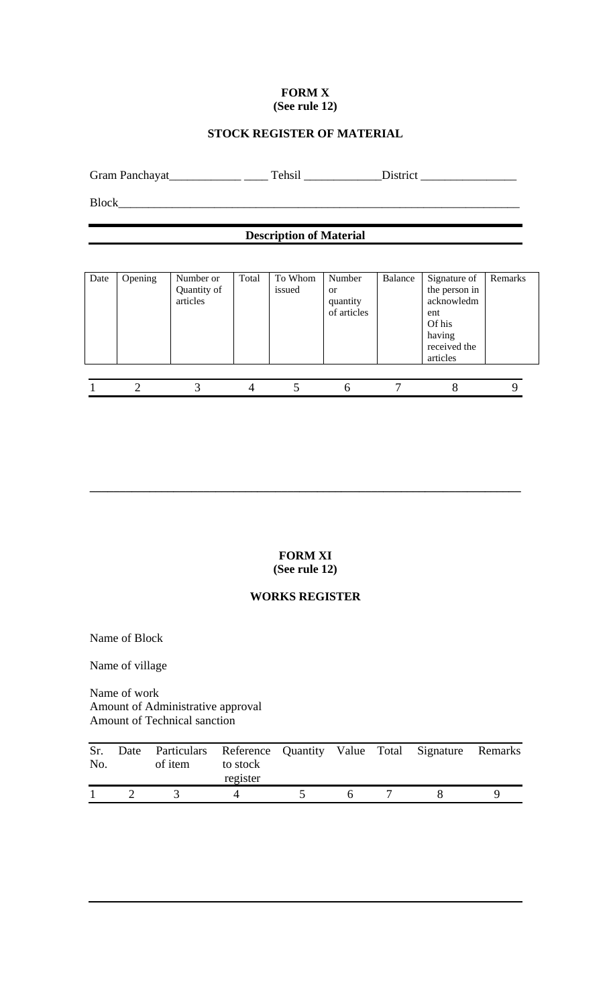#### **FORM X (See rule 12)**

## **STOCK REGISTER OF MATERIAL**

Gram Panchayat\_\_\_\_\_\_\_\_\_\_\_\_ \_\_\_\_ Tehsil \_\_\_\_\_\_\_\_\_\_\_\_\_District \_\_\_\_\_\_\_\_\_\_\_\_\_\_\_\_

Block\_\_\_\_\_\_\_\_\_\_\_\_\_\_\_\_\_\_\_\_\_\_\_\_\_\_\_\_\_\_\_\_\_\_\_\_\_\_\_\_\_\_\_\_\_\_\_\_\_\_\_\_\_\_\_\_\_\_\_\_\_\_\_\_\_\_\_

# **Description of Material**

| Date | Opening | Number or<br>Quantity of<br>articles | Total | To Whom<br>issued | Number<br><sub>or</sub><br>quantity<br>of articles | Balance | Signature of<br>the person in<br>acknowledm<br>ent<br>Of his<br>having<br>received the<br>articles | Remarks |
|------|---------|--------------------------------------|-------|-------------------|----------------------------------------------------|---------|----------------------------------------------------------------------------------------------------|---------|
|      |         |                                      |       |                   |                                                    |         |                                                                                                    |         |

**FORM XI (See rule 12)** 

**\_\_\_\_\_\_\_\_\_\_\_\_\_\_\_\_\_\_\_\_\_\_\_\_\_\_\_\_\_\_\_\_\_\_\_\_\_\_\_\_\_\_\_\_\_\_\_\_\_\_\_\_\_\_\_\_\_\_\_\_\_\_\_\_\_\_\_\_\_\_\_\_** 

#### **WORKS REGISTER**

Name of Block

Name of village

Name of work Amount of Administrative approval Amount of Technical sanction

| Sr.<br>No. | Date Particulars Reference Quantity Value Total Signature Remarks<br>of item | to stock<br>register |  |  |  |
|------------|------------------------------------------------------------------------------|----------------------|--|--|--|
|            |                                                                              |                      |  |  |  |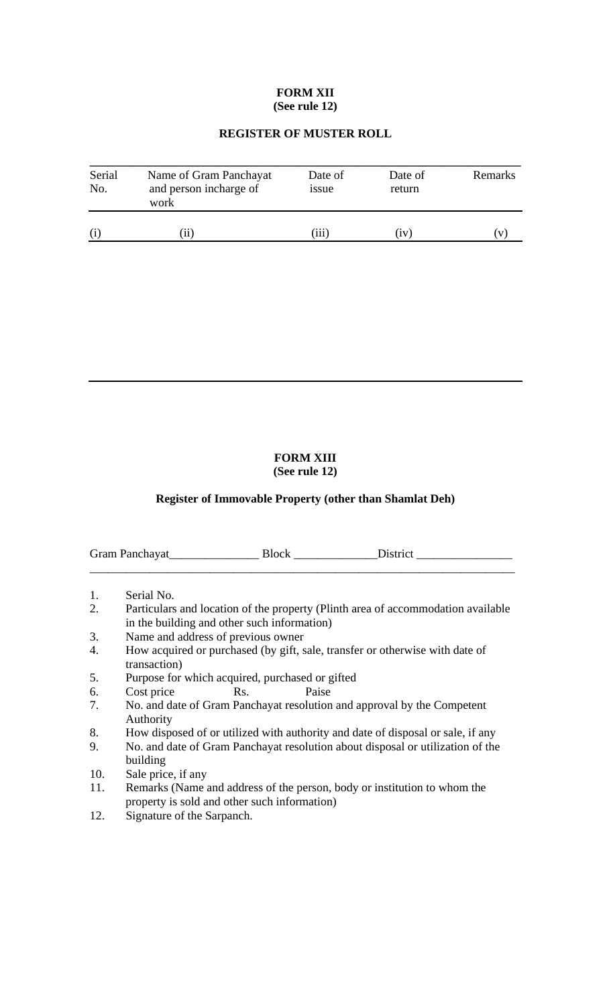#### **FORM XII (See rule 12)**

#### **REGISTER OF MUSTER ROLL**

| Serial<br>No. | Name of Gram Panchayat<br>and person incharge of<br>work | Date of<br><i>ssue</i> | Date of<br>return | Remarks |
|---------------|----------------------------------------------------------|------------------------|-------------------|---------|
| (i)           | 11                                                       | 111                    | (iv)              |         |

# **FORM XIII**

#### **(See rule 12)**

#### **Register of Immovable Property (other than Shamlat Deh)**

| Gram Panchayat | - Bloch |  |
|----------------|---------|--|
|                |         |  |

- 1. Serial No.
- 2. Particulars and location of the property (Plinth area of accommodation available in the building and other such information)
- 3. Name and address of previous owner
- 4. How acquired or purchased (by gift, sale, transfer or otherwise with date of transaction)
- 5. Purpose for which acquired, purchased or gifted
- 6. Cost price Rs. Paise
- 7. No. and date of Gram Panchayat resolution and approval by the Competent Authority
- 8. How disposed of or utilized with authority and date of disposal or sale, if any
- 9. No. and date of Gram Panchayat resolution about disposal or utilization of the building
- 10. Sale price, if any
- 11. Remarks (Name and address of the person, body or institution to whom the property is sold and other such information)
- 12. Signature of the Sarpanch.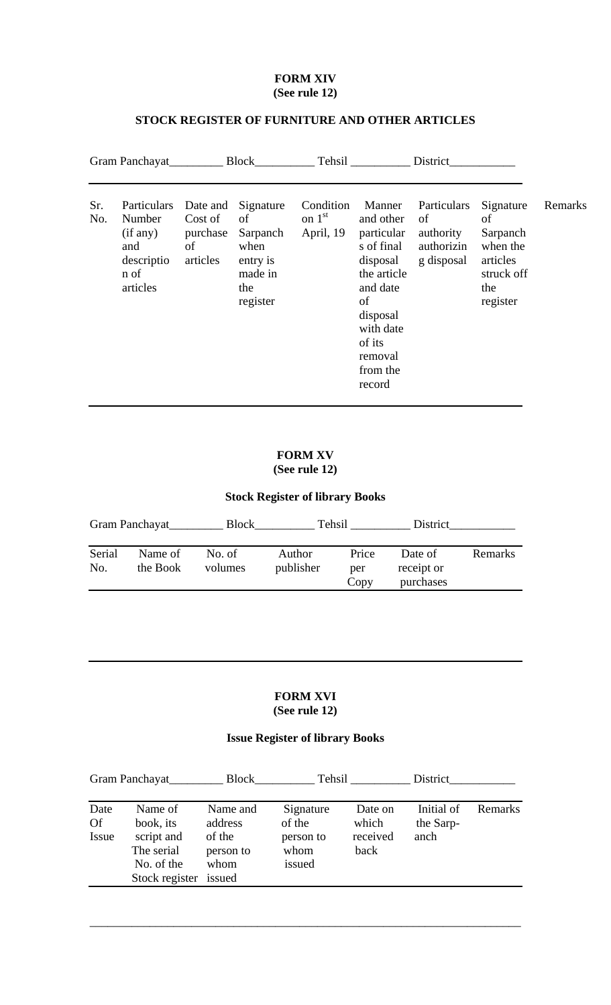#### **FORM XIV (See rule 12)**

# **STOCK REGISTER OF FURNITURE AND OTHER ARTICLES**

| Gram Panchayat |                                                                            | Block                                             |                                                                               | Tehsil                             |                                                                                                                                                                  | District                                                   |                                                                                      |         |
|----------------|----------------------------------------------------------------------------|---------------------------------------------------|-------------------------------------------------------------------------------|------------------------------------|------------------------------------------------------------------------------------------------------------------------------------------------------------------|------------------------------------------------------------|--------------------------------------------------------------------------------------|---------|
| Sr.<br>No.     | Particulars<br>Number<br>(if any)<br>and<br>descriptio<br>n of<br>articles | Date and<br>Cost of<br>purchase<br>of<br>articles | Signature<br>of<br>Sarpanch<br>when<br>entry is<br>made in<br>the<br>register | Condition<br>on $1st$<br>April, 19 | Manner<br>and other<br>particular<br>s of final<br>disposal<br>the article<br>and date<br>of<br>disposal<br>with date<br>of its<br>removal<br>from the<br>record | Particulars<br>of<br>authority<br>authorizin<br>g disposal | Signature<br>of<br>Sarpanch<br>when the<br>articles<br>struck off<br>the<br>register | Remarks |

## **FORM XV (See rule 12)**

# **Stock Register of library Books**

| Gram Panchayat |                     | Block             | Tehsil              |                      | District                           |         |
|----------------|---------------------|-------------------|---------------------|----------------------|------------------------------------|---------|
| Serial<br>No.  | Name of<br>the Book | No. of<br>volumes | Author<br>publisher | Price<br>per<br>Copy | Date of<br>receipt or<br>purchases | Remarks |

#### **FORM XVI (See rule 12)**

# **Issue Register of library Books**

| Gram Panchayat             |                                                                                         | Block<br>Tehsil                                    |                                                    |                                      | District                        |         |  |
|----------------------------|-----------------------------------------------------------------------------------------|----------------------------------------------------|----------------------------------------------------|--------------------------------------|---------------------------------|---------|--|
| Date<br>Of<br><b>Issue</b> | Name of<br>book, its<br>script and<br>The serial<br>No. of the<br>Stock register issued | Name and<br>address<br>of the<br>person to<br>whom | Signature<br>of the<br>person to<br>whom<br>issued | Date on<br>which<br>received<br>back | Initial of<br>the Sarp-<br>anch | Remarks |  |
|                            |                                                                                         |                                                    |                                                    |                                      |                                 |         |  |

\_\_\_\_\_\_\_\_\_\_\_\_\_\_\_\_\_\_\_\_\_\_\_\_\_\_\_\_\_\_\_\_\_\_\_\_\_\_\_\_\_\_\_\_\_\_\_\_\_\_\_\_\_\_\_\_\_\_\_\_\_\_\_\_\_\_\_\_\_\_\_\_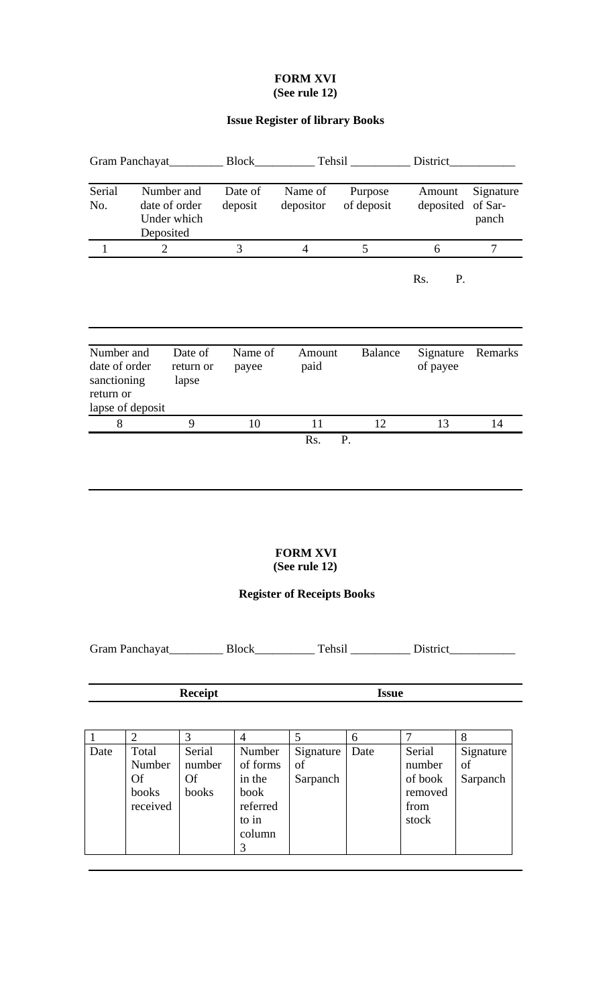#### **FORM XVI (See rule 12)**

#### **Issue Register of library Books**

| Gram Panchayat_                                                             |                | <b>Block</b>                                            | Tehsil             |                      | District              |                       |                               |
|-----------------------------------------------------------------------------|----------------|---------------------------------------------------------|--------------------|----------------------|-----------------------|-----------------------|-------------------------------|
| Serial<br>No.                                                               |                | Number and<br>date of order<br>Under which<br>Deposited | Date of<br>deposit | Name of<br>depositor | Purpose<br>of deposit | Amount<br>deposited   | Signature<br>of Sar-<br>panch |
| 1                                                                           | $\overline{2}$ |                                                         | 3                  | $\overline{4}$       | 5                     | 6                     | 7                             |
|                                                                             |                |                                                         |                    |                      |                       | Rs.<br>P.             |                               |
| Number and<br>date of order<br>sanctioning<br>return or<br>lapse of deposit |                | Date of<br>return or<br>lapse                           | Name of<br>payee   | Amount<br>paid       | <b>Balance</b>        | Signature<br>of payee | Remarks                       |
| 8                                                                           |                | 9                                                       | 10                 | 11                   | 12                    | 13                    | 14                            |
|                                                                             |                |                                                         |                    | Rs.                  | P.                    |                       |                               |

#### **FORM XVI (See rule 12)**

#### **Register of Receipts Books**

Gram Panchayat\_\_\_\_\_\_\_\_\_\_\_ Block\_\_\_\_\_\_\_\_\_\_\_\_ Tehsil \_\_\_\_\_\_\_\_\_\_\_\_ District\_\_\_\_\_\_\_\_\_\_\_\_\_\_\_

#### **Receipt Issue**

1 2 3 4 5 6 7 8 Date Total Number Of books received Serial number Of books Number of forms in the book referred to in column 3 Signature of Sarpanch Date Serial number of book removed from stock Signature of Sarpanch